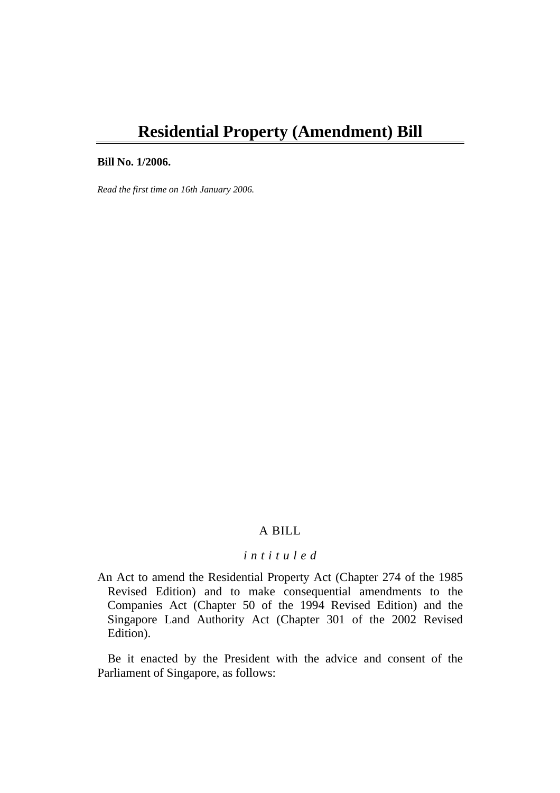# **Residential Property (Amendment) Bill**

#### **Bill No. 1/2006.**

*Read the first time on 16th January 2006.* 

# A BILL

# *i n t i t u l e d*

An Act to amend the Residential Property Act (Chapter 274 of the 1985 Revised Edition) and to make consequential amendments to the Companies Act (Chapter 50 of the 1994 Revised Edition) and the Singapore Land Authority Act (Chapter 301 of the 2002 Revised Edition).

Be it enacted by the President with the advice and consent of the Parliament of Singapore, as follows: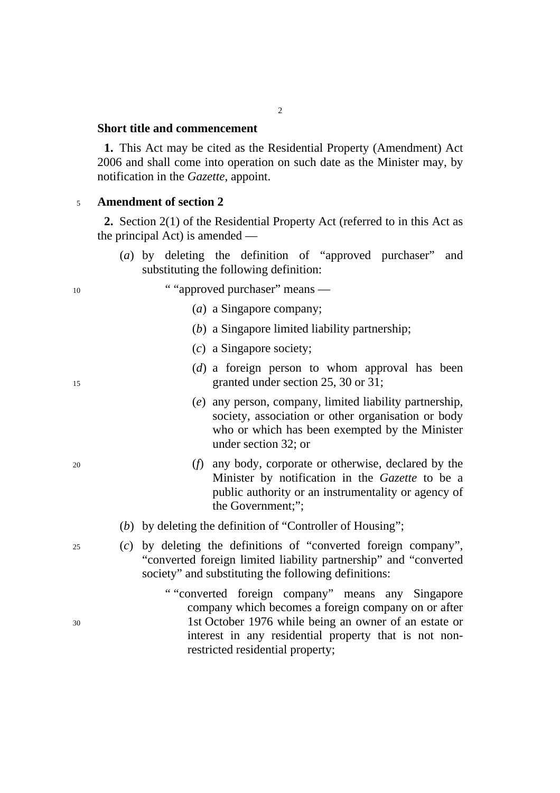# **Short title and commencement**

**1.** This Act may be cited as the Residential Property (Amendment) Act 2006 and shall come into operation on such date as the Minister may, by notification in the *Gazette*, appoint.

### <sup>5</sup>**Amendment of section 2**

**2.** Section 2(1) of the Residential Property Act (referred to in this Act as the principal Act) is amended —

- (*a*) by deleting the definition of "approved purchaser" and substituting the following definition:
- 10 ""approved purchaser" means
	- (*a*) a Singapore company;
	- (*b*) a Singapore limited liability partnership;
	- (*c*) a Singapore society;
- (*d*) a foreign person to whom approval has been 15 granted under section 25, 30 or 31;
	- (*e*) any person, company, limited liability partnership, society, association or other organisation or body who or which has been exempted by the Minister under section 32; or
- 20 (*f*) any body, corporate or otherwise, declared by the Minister by notification in the *Gazette* to be a public authority or an instrumentality or agency of the Government;";
	- (*b*) by deleting the definition of "Controller of Housing";
- 25 (*c*) by deleting the definitions of "converted foreign company", "converted foreign limited liability partnership" and "converted society" and substituting the following definitions:
- " "converted foreign company" means any Singapore company which becomes a foreign company on or after 30 1st October 1976 while being an owner of an estate or interest in any residential property that is not nonrestricted residential property;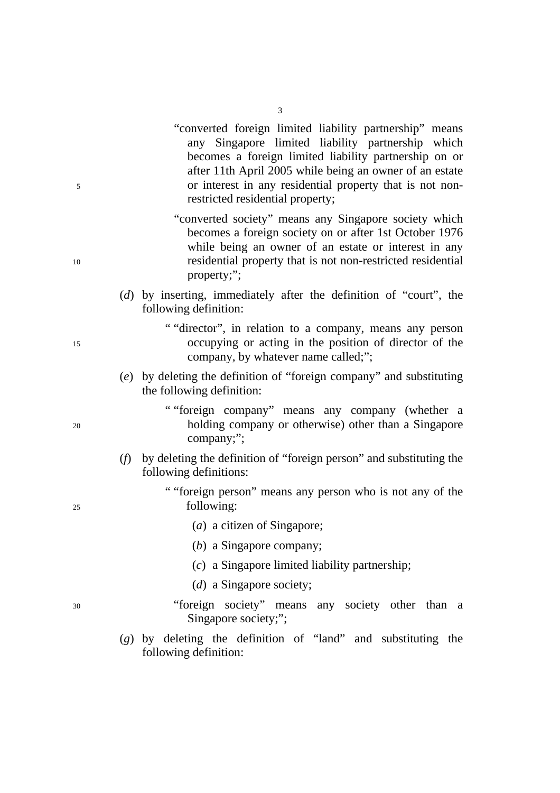- "converted foreign limited liability partnership" means any Singapore limited liability partnership which becomes a foreign limited liability partnership on or after 11th April 2005 while being an owner of an estate 5 or interest in any residential property that is not nonrestricted residential property;
- "converted society" means any Singapore society which becomes a foreign society on or after 1st October 1976 while being an owner of an estate or interest in any 10 residential property that is not non-restricted residential property;";
	- (*d*) by inserting, immediately after the definition of "court", the following definition:
- " "director", in relation to a company, means any person 15 occupying or acting in the position of director of the company, by whatever name called;";
	- (*e*) by deleting the definition of "foreign company" and substituting the following definition:
- " "foreign company" means any company (whether a 20 holding company or otherwise) other than a Singapore company;";
	- (*f*) by deleting the definition of "foreign person" and substituting the following definitions:
- " "foreign person" means any person who is not any of the 25 following:
	- (*a*) a citizen of Singapore;
	- (*b*) a Singapore company;
	- (*c*) a Singapore limited liability partnership;
	- (*d*) a Singapore society;
- 30 "foreign society" means any society other than a Singapore society;";
	- (*g*) by deleting the definition of "land" and substituting the following definition: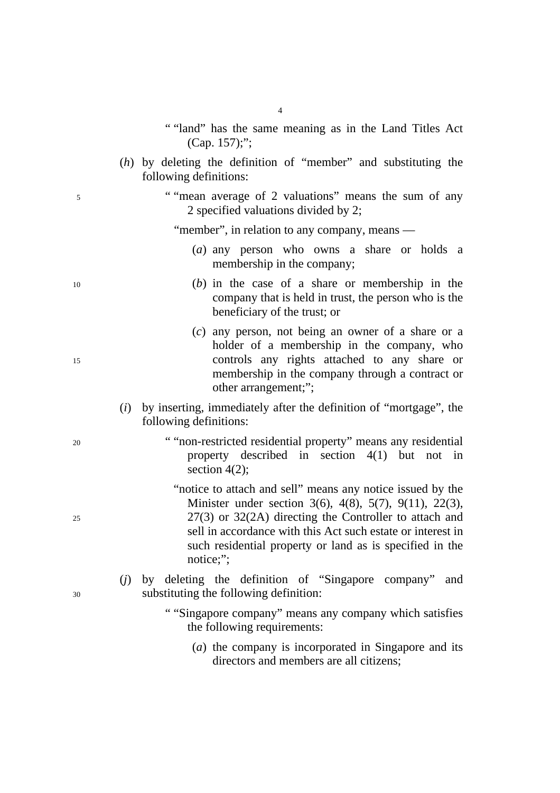- " "land" has the same meaning as in the Land Titles Act (Cap. 157);";
- (*h*) by deleting the definition of "member" and substituting the following definitions:
- 5 " "mean average of 2 valuations" means the sum of any 2 specified valuations divided by 2;

"member", in relation to any company, means —

- (*a*) any person who owns a share or holds a membership in the company;
- 10 (*b*) in the case of a share or membership in the company that is held in trust, the person who is the beneficiary of the trust; or
- (*c*) any person, not being an owner of a share or a holder of a membership in the company, who 15 controls any rights attached to any share or membership in the company through a contract or other arrangement;";
	- (*i*) by inserting, immediately after the definition of "mortgage", the following definitions:
- 20 " "non-restricted residential property" means any residential property described in section  $4(1)$  but not section 4(2):
- "notice to attach and sell" means any notice issued by the Minister under section 3(6), 4(8), 5(7), 9(11), 22(3), 25 27(3) or 32(2A) directing the Controller to attach and sell in accordance with this Act such estate or interest in such residential property or land as is specified in the notice:":
- (*j*) by deleting the definition of "Singapore company" and 30 substituting the following definition:
	- " "Singapore company" means any company which satisfies the following requirements:
		- (*a*) the company is incorporated in Singapore and its directors and members are all citizens;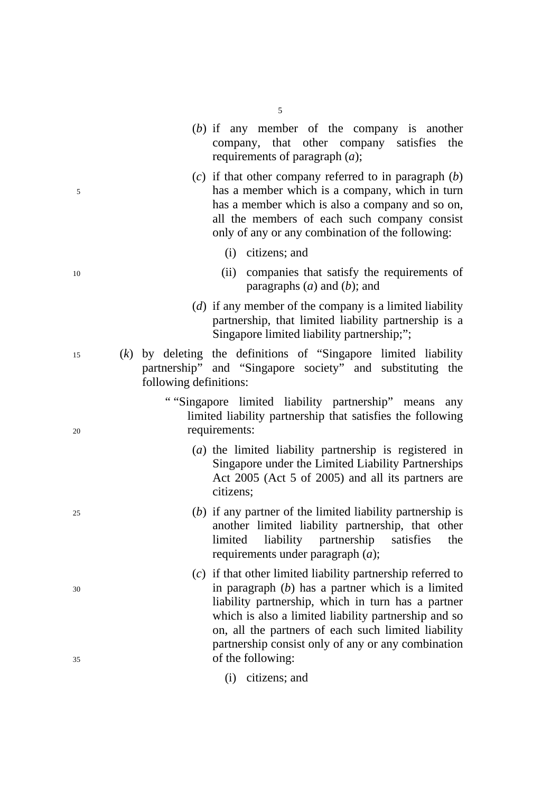|          |     |                        | company, that other company satisfies the<br>requirements of paragraph $(a)$ ;                                                                                                                                                                                                                                                                                       |
|----------|-----|------------------------|----------------------------------------------------------------------------------------------------------------------------------------------------------------------------------------------------------------------------------------------------------------------------------------------------------------------------------------------------------------------|
| 5        |     |                        | $(c)$ if that other company referred to in paragraph $(b)$<br>has a member which is a company, which in turn<br>has a member which is also a company and so on,<br>all the members of each such company consist<br>only of any or any combination of the following:                                                                                                  |
|          |     |                        | citizens; and<br>(i)                                                                                                                                                                                                                                                                                                                                                 |
| 10       |     |                        | companies that satisfy the requirements of<br>(ii)<br>paragraphs $(a)$ and $(b)$ ; and                                                                                                                                                                                                                                                                               |
|          |     |                        | (d) if any member of the company is a limited liability<br>partnership, that limited liability partnership is a<br>Singapore limited liability partnership;";                                                                                                                                                                                                        |
| 15       | (k) | following definitions: | by deleting the definitions of "Singapore limited liability<br>partnership" and "Singapore society" and substituting the                                                                                                                                                                                                                                             |
| 20       |     |                        | ""Singapore limited liability partnership" means any<br>limited liability partnership that satisfies the following<br>requirements:                                                                                                                                                                                                                                  |
|          |     |                        | (a) the limited liability partnership is registered in<br>Singapore under the Limited Liability Partnerships<br>Act 2005 (Act 5 of 2005) and all its partners are<br>citizens;                                                                                                                                                                                       |
| 25       |     |                        | $(b)$ if any partner of the limited liability partnership is<br>another limited liability partnership, that other<br>liability partnership<br>limited<br>satisfies<br>the<br>requirements under paragraph $(a)$ ;                                                                                                                                                    |
| 30<br>35 |     |                        | $(c)$ if that other limited liability partnership referred to<br>in paragraph $(b)$ has a partner which is a limited<br>liability partnership, which in turn has a partner<br>which is also a limited liability partnership and so<br>on, all the partners of each such limited liability<br>partnership consist only of any or any combination<br>of the following: |
|          |     |                        | (i) citizens; and                                                                                                                                                                                                                                                                                                                                                    |

5

(*b*) if any member of the company is another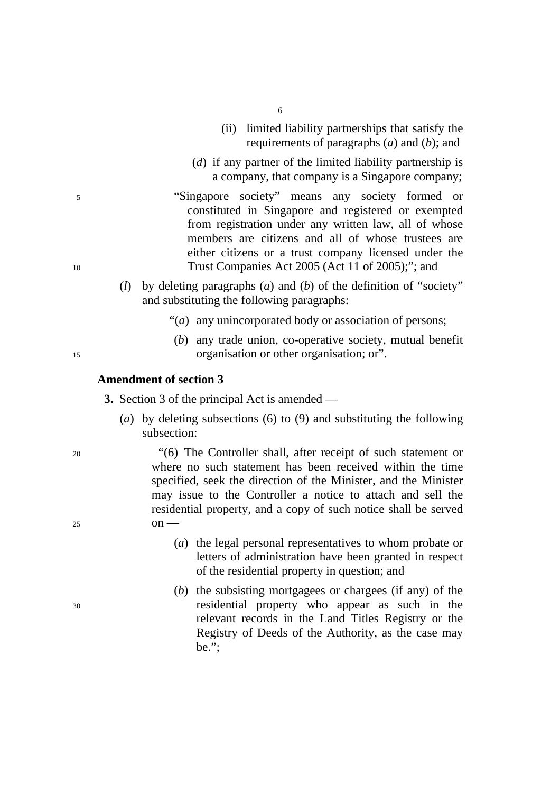- 6
- (ii) limited liability partnerships that satisfy the requirements of paragraphs (*a*) and (*b*); and
- (*d*) if any partner of the limited liability partnership is a company, that company is a Singapore company;
- 5 "Singapore society" means any society formed or constituted in Singapore and registered or exempted from registration under any written law, all of whose members are citizens and all of whose trustees are either citizens or a trust company licensed under the 10 Trust Companies Act 2005 (Act 11 of 2005);"; and
	- (*l*) by deleting paragraphs (*a*) and (*b*) of the definition of "society" and substituting the following paragraphs:
		- "(*a*) any unincorporated body or association of persons;
- (*b*) any trade union, co-operative society, mutual benefit 15 organisation or other organisation; or".

### **Amendment of section 3**

**3.** Section 3 of the principal Act is amended —

(*a*) by deleting subsections (6) to (9) and substituting the following subsection:

20 "(6) The Controller shall, after receipt of such statement or where no such statement has been received within the time specified, seek the direction of the Minister, and the Minister may issue to the Controller a notice to attach and sell the residential property, and a copy of such notice shall be served 25  $\qquad \qquad \text{on} \longrightarrow$ 

- (*a*) the legal personal representatives to whom probate or letters of administration have been granted in respect of the residential property in question; and
- (*b*) the subsisting mortgagees or chargees (if any) of the 30 residential property who appear as such in the relevant records in the Land Titles Registry or the Registry of Deeds of the Authority, as the case may be.";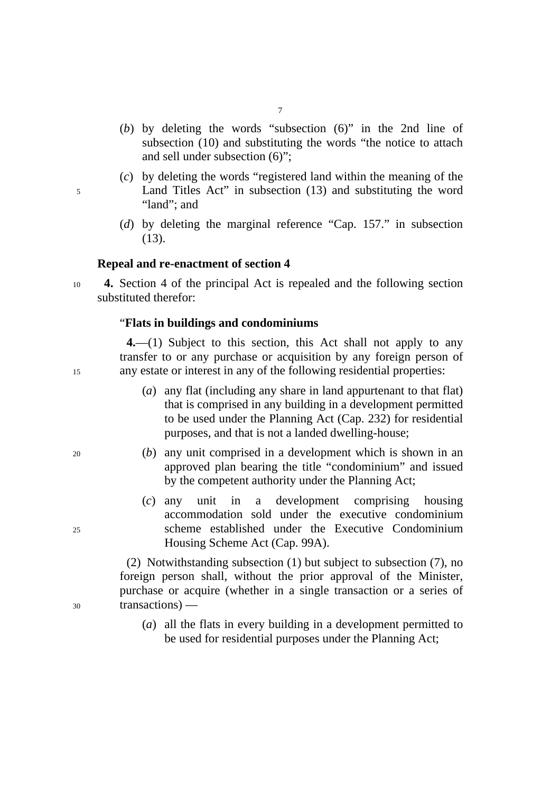- (*b*) by deleting the words "subsection (6)" in the 2nd line of subsection (10) and substituting the words "the notice to attach and sell under subsection (6)";
- (*c*) by deleting the words "registered land within the meaning of the 5 Land Titles Act" in subsection (13) and substituting the word "land"; and
	- (*d*) by deleting the marginal reference "Cap. 157." in subsection (13).

### **Repeal and re-enactment of section 4**

<sup>10</sup>**4.** Section 4 of the principal Act is repealed and the following section substituted therefor:

#### "**Flats in buildings and condominiums**

**4.**—(1) Subject to this section, this Act shall not apply to any transfer to or any purchase or acquisition by any foreign person of 15 any estate or interest in any of the following residential properties:

- (*a*) any flat (including any share in land appurtenant to that flat) that is comprised in any building in a development permitted to be used under the Planning Act (Cap. 232) for residential purposes, and that is not a landed dwelling-house;
- 20 (*b*) any unit comprised in a development which is shown in an approved plan bearing the title "condominium" and issued by the competent authority under the Planning Act;
- (*c*) any unit in a development comprising housing accommodation sold under the executive condominium 25 scheme established under the Executive Condominium Housing Scheme Act (Cap. 99A).

(2) Notwithstanding subsection (1) but subject to subsection (7), no foreign person shall, without the prior approval of the Minister, purchase or acquire (whether in a single transaction or a series of 30 transactions) —

> (*a*) all the flats in every building in a development permitted to be used for residential purposes under the Planning Act;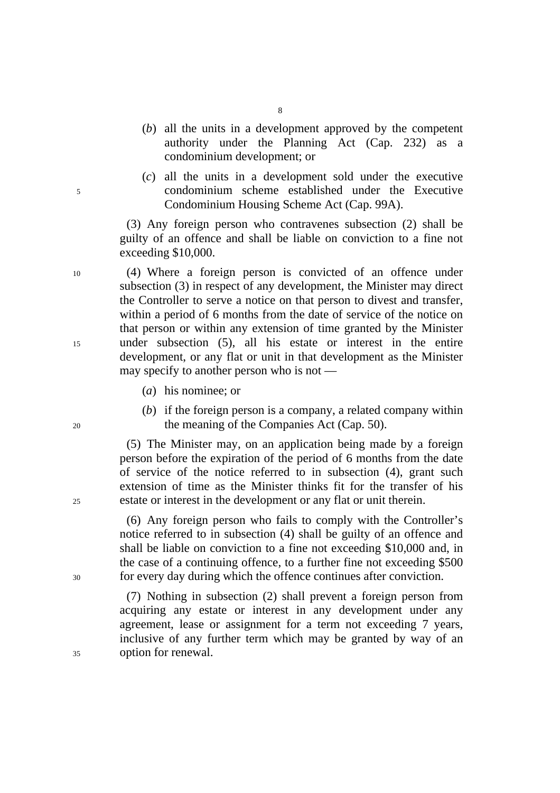- (*b*) all the units in a development approved by the competent authority under the Planning Act (Cap. 232) as a condominium development; or
- (*c*) all the units in a development sold under the executive 5 condominium scheme established under the Executive Condominium Housing Scheme Act (Cap. 99A).

(3) Any foreign person who contravenes subsection (2) shall be guilty of an offence and shall be liable on conviction to a fine not exceeding \$10,000.

10 (4) Where a foreign person is convicted of an offence under subsection (3) in respect of any development, the Minister may direct the Controller to serve a notice on that person to divest and transfer, within a period of 6 months from the date of service of the notice on that person or within any extension of time granted by the Minister 15 under subsection (5), all his estate or interest in the entire development, or any flat or unit in that development as the Minister may specify to another person who is not —

- (*a*) his nominee; or
- (*b*) if the foreign person is a company, a related company within 20 the meaning of the Companies Act (Cap. 50).

(5) The Minister may, on an application being made by a foreign person before the expiration of the period of 6 months from the date of service of the notice referred to in subsection (4), grant such extension of time as the Minister thinks fit for the transfer of his 25 estate or interest in the development or any flat or unit therein.

(6) Any foreign person who fails to comply with the Controller's notice referred to in subsection (4) shall be guilty of an offence and shall be liable on conviction to a fine not exceeding \$10,000 and, in the case of a continuing offence, to a further fine not exceeding \$500 30 for every day during which the offence continues after conviction.

(7) Nothing in subsection (2) shall prevent a foreign person from acquiring any estate or interest in any development under any agreement, lease or assignment for a term not exceeding 7 years, inclusive of any further term which may be granted by way of an 35 option for renewal.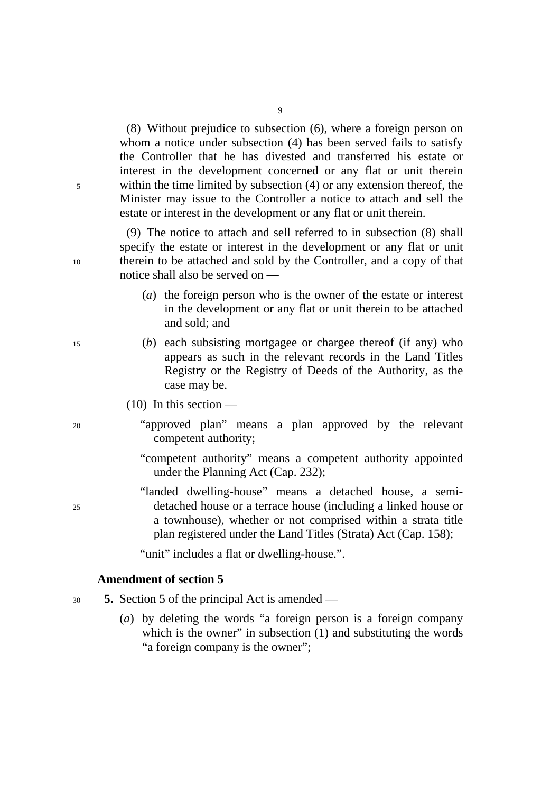(8) Without prejudice to subsection (6), where a foreign person on whom a notice under subsection (4) has been served fails to satisfy the Controller that he has divested and transferred his estate or interest in the development concerned or any flat or unit therein 5 within the time limited by subsection (4) or any extension thereof, the Minister may issue to the Controller a notice to attach and sell the estate or interest in the development or any flat or unit therein.

(9) The notice to attach and sell referred to in subsection (8) shall specify the estate or interest in the development or any flat or unit 10 therein to be attached and sold by the Controller, and a copy of that notice shall also be served on —

- (*a*) the foreign person who is the owner of the estate or interest in the development or any flat or unit therein to be attached and sold; and
- 15 (*b*) each subsisting mortgagee or chargee thereof (if any) who appears as such in the relevant records in the Land Titles Registry or the Registry of Deeds of the Authority, as the case may be.
	- $(10)$  In this section —
- 20 "approved plan" means a plan approved by the relevant competent authority;
	- "competent authority" means a competent authority appointed under the Planning Act (Cap. 232);
- "landed dwelling-house" means a detached house, a semi-25 detached house or a terrace house (including a linked house or a townhouse), whether or not comprised within a strata title plan registered under the Land Titles (Strata) Act (Cap. 158);

"unit" includes a flat or dwelling-house.".

# **Amendment of section 5**

- <sup>30</sup>**5.** Section 5 of the principal Act is amended
	- (*a*) by deleting the words "a foreign person is a foreign company which is the owner" in subsection (1) and substituting the words "a foreign company is the owner";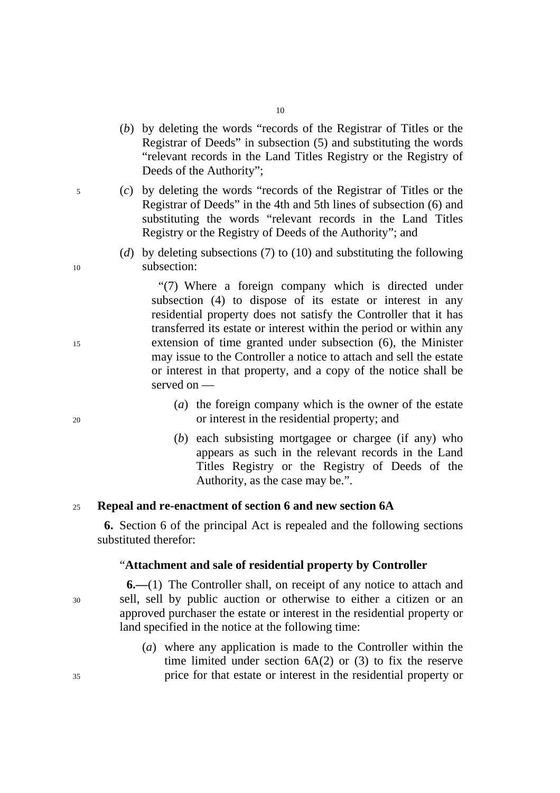- (*b*) by deleting the words "records of the Registrar of Titles or the Registrar of Deeds" in subsection (5) and substituting the words "relevant records in the Land Titles Registry or the Registry of Deeds of the Authority";
- 5 (*c*) by deleting the words "records of the Registrar of Titles or the Registrar of Deeds" in the 4th and 5th lines of subsection (6) and substituting the words "relevant records in the Land Titles Registry or the Registry of Deeds of the Authority"; and
- (*d*) by deleting subsections (7) to (10) and substituting the following 10 subsection:

"(7) Where a foreign company which is directed under subsection (4) to dispose of its estate or interest in any residential property does not satisfy the Controller that it has transferred its estate or interest within the period or within any 15 extension of time granted under subsection (6), the Minister may issue to the Controller a notice to attach and sell the estate or interest in that property, and a copy of the notice shall be served on —

- (*a*) the foreign company which is the owner of the estate 20 or interest in the residential property; and
	- (*b*) each subsisting mortgagee or chargee (if any) who appears as such in the relevant records in the Land Titles Registry or the Registry of Deeds of the Authority, as the case may be.".

# <sup>25</sup>**Repeal and re-enactment of section 6 and new section 6A**

**6.** Section 6 of the principal Act is repealed and the following sections substituted therefor:

### "**Attachment and sale of residential property by Controller**

**6.—**(1) The Controller shall, on receipt of any notice to attach and 30 sell, sell by public auction or otherwise to either a citizen or an approved purchaser the estate or interest in the residential property or land specified in the notice at the following time:

(*a*) where any application is made to the Controller within the time limited under section  $6A(2)$  or  $(3)$  to fix the reserve 35 price for that estate or interest in the residential property or

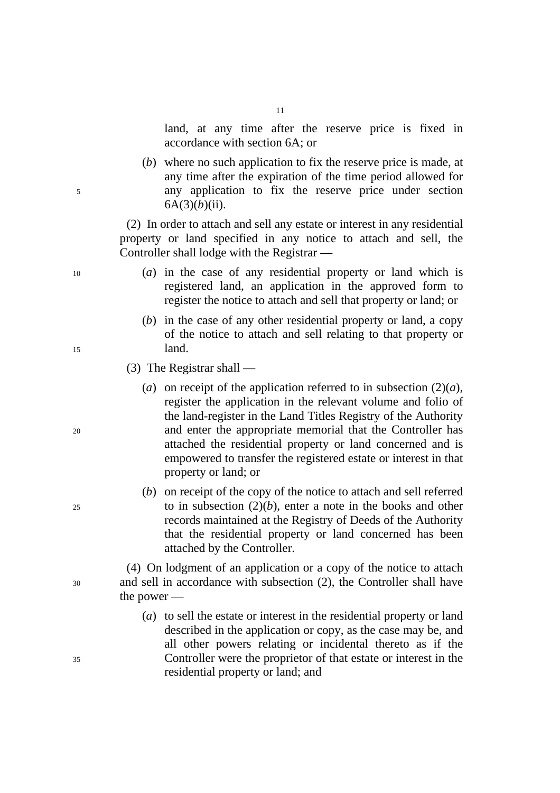land, at any time after the reserve price is fixed in accordance with section 6A; or

(*b*) where no such application to fix the reserve price is made, at any time after the expiration of the time period allowed for 5 any application to fix the reserve price under section  $6A(3)(b)(ii)$ .

> (2) In order to attach and sell any estate or interest in any residential property or land specified in any notice to attach and sell, the Controller shall lodge with the Registrar —

- 10 (*a*) in the case of any residential property or land which is registered land, an application in the approved form to register the notice to attach and sell that property or land; or
- (*b*) in the case of any other residential property or land, a copy of the notice to attach and sell relating to that property or 15 land.
	- (3) The Registrar shall —
- (*a*) on receipt of the application referred to in subsection  $(2)(a)$ , register the application in the relevant volume and folio of the land-register in the Land Titles Registry of the Authority 20 and enter the appropriate memorial that the Controller has attached the residential property or land concerned and is empowered to transfer the registered estate or interest in that property or land; or
- (*b*) on receipt of the copy of the notice to attach and sell referred  $25$  to in subsection  $(2)(b)$ , enter a note in the books and other records maintained at the Registry of Deeds of the Authority that the residential property or land concerned has been attached by the Controller.

(4) On lodgment of an application or a copy of the notice to attach 30 and sell in accordance with subsection (2), the Controller shall have the power —

(*a*) to sell the estate or interest in the residential property or land described in the application or copy, as the case may be, and all other powers relating or incidental thereto as if the 35 Controller were the proprietor of that estate or interest in the residential property or land; and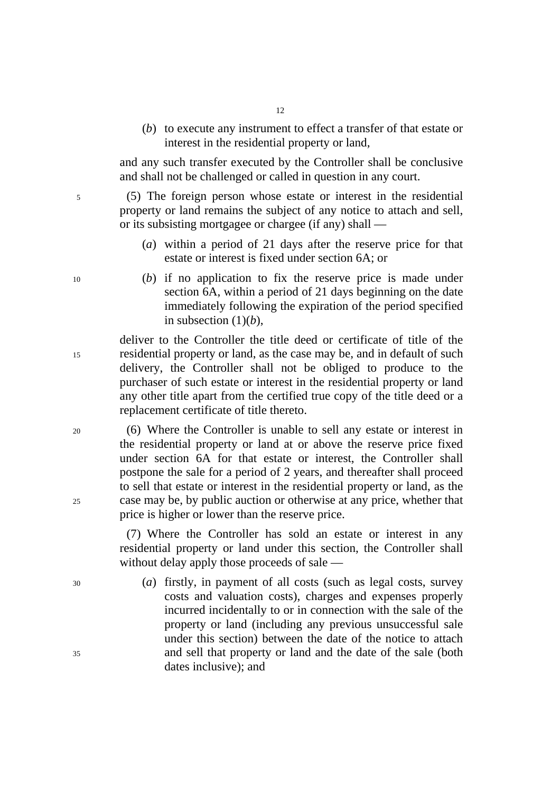- 12
- (*b*) to execute any instrument to effect a transfer of that estate or interest in the residential property or land,

and any such transfer executed by the Controller shall be conclusive and shall not be challenged or called in question in any court.

5 (5) The foreign person whose estate or interest in the residential property or land remains the subject of any notice to attach and sell, or its subsisting mortgagee or chargee (if any) shall —

- (*a*) within a period of 21 days after the reserve price for that estate or interest is fixed under section 6A; or
- 10 (*b*) if no application to fix the reserve price is made under section 6A, within a period of 21 days beginning on the date immediately following the expiration of the period specified in subsection  $(1)(b)$ ,

deliver to the Controller the title deed or certificate of title of the 15 residential property or land, as the case may be, and in default of such delivery, the Controller shall not be obliged to produce to the purchaser of such estate or interest in the residential property or land any other title apart from the certified true copy of the title deed or a replacement certificate of title thereto.

20 (6) Where the Controller is unable to sell any estate or interest in the residential property or land at or above the reserve price fixed under section 6A for that estate or interest, the Controller shall postpone the sale for a period of 2 years, and thereafter shall proceed to sell that estate or interest in the residential property or land, as the 25 case may be, by public auction or otherwise at any price, whether that price is higher or lower than the reserve price.

> (7) Where the Controller has sold an estate or interest in any residential property or land under this section, the Controller shall without delay apply those proceeds of sale —

30 (*a*) firstly, in payment of all costs (such as legal costs, survey costs and valuation costs), charges and expenses properly incurred incidentally to or in connection with the sale of the property or land (including any previous unsuccessful sale under this section) between the date of the notice to attach 35 and sell that property or land and the date of the sale (both dates inclusive); and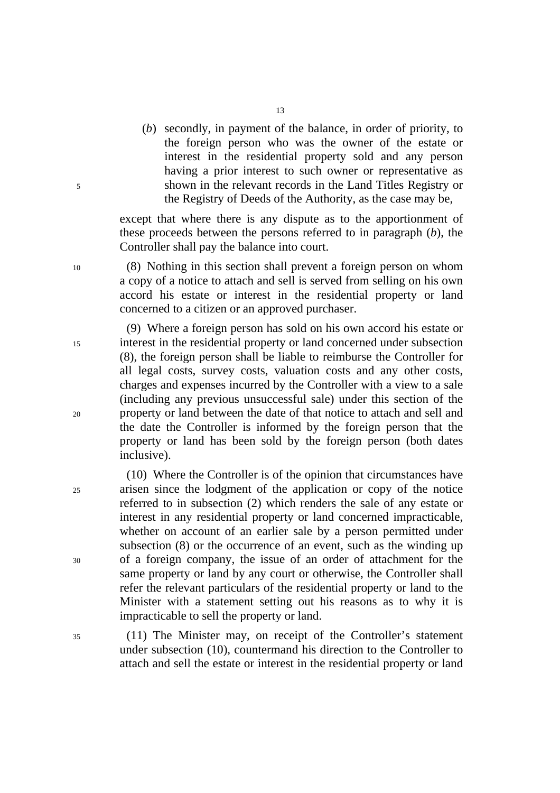(*b*) secondly, in payment of the balance, in order of priority, to the foreign person who was the owner of the estate or interest in the residential property sold and any person having a prior interest to such owner or representative as 5 shown in the relevant records in the Land Titles Registry or the Registry of Deeds of the Authority, as the case may be,

> except that where there is any dispute as to the apportionment of these proceeds between the persons referred to in paragraph (*b*), the Controller shall pay the balance into court.

10 (8) Nothing in this section shall prevent a foreign person on whom a copy of a notice to attach and sell is served from selling on his own accord his estate or interest in the residential property or land concerned to a citizen or an approved purchaser.

(9) Where a foreign person has sold on his own accord his estate or 15 interest in the residential property or land concerned under subsection (8), the foreign person shall be liable to reimburse the Controller for all legal costs, survey costs, valuation costs and any other costs, charges and expenses incurred by the Controller with a view to a sale (including any previous unsuccessful sale) under this section of the 20 property or land between the date of that notice to attach and sell and the date the Controller is informed by the foreign person that the property or land has been sold by the foreign person (both dates inclusive).

(10) Where the Controller is of the opinion that circumstances have 25 arisen since the lodgment of the application or copy of the notice referred to in subsection (2) which renders the sale of any estate or interest in any residential property or land concerned impracticable, whether on account of an earlier sale by a person permitted under subsection (8) or the occurrence of an event, such as the winding up 30 of a foreign company, the issue of an order of attachment for the same property or land by any court or otherwise, the Controller shall refer the relevant particulars of the residential property or land to the Minister with a statement setting out his reasons as to why it is impracticable to sell the property or land.

35 (11) The Minister may, on receipt of the Controller's statement under subsection (10), countermand his direction to the Controller to attach and sell the estate or interest in the residential property or land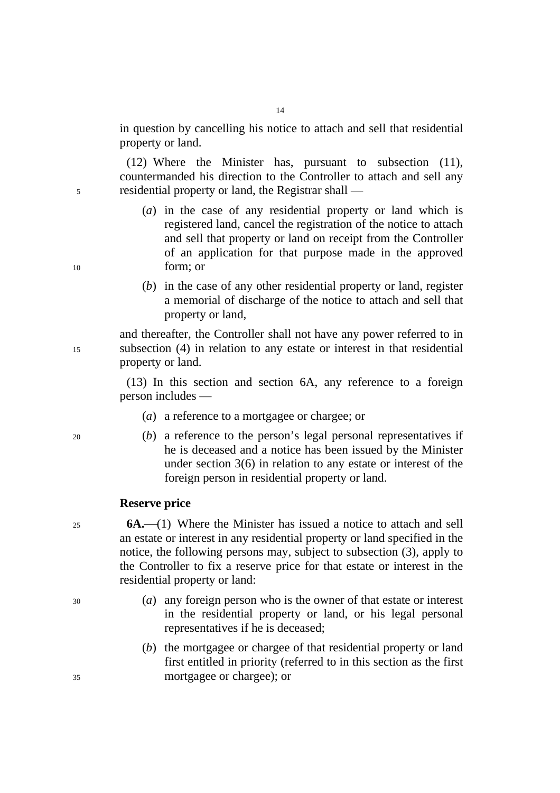in question by cancelling his notice to attach and sell that residential property or land.

(12) Where the Minister has, pursuant to subsection (11), countermanded his direction to the Controller to attach and sell any 5 residential property or land, the Registrar shall —

- (*a*) in the case of any residential property or land which is registered land, cancel the registration of the notice to attach and sell that property or land on receipt from the Controller of an application for that purpose made in the approved 10 form; or
	- (*b*) in the case of any other residential property or land, register a memorial of discharge of the notice to attach and sell that property or land,

and thereafter, the Controller shall not have any power referred to in 15 subsection (4) in relation to any estate or interest in that residential property or land.

> (13) In this section and section 6A, any reference to a foreign person includes —

- (*a*) a reference to a mortgagee or chargee; or
- 20 (*b*) a reference to the person's legal personal representatives if he is deceased and a notice has been issued by the Minister under section 3(6) in relation to any estate or interest of the foreign person in residential property or land.

### **Reserve price**

<sup>25</sup>**6A.**⎯(1) Where the Minister has issued a notice to attach and sell an estate or interest in any residential property or land specified in the notice, the following persons may, subject to subsection (3), apply to the Controller to fix a reserve price for that estate or interest in the residential property or land:

- 30 (*a*) any foreign person who is the owner of that estate or interest in the residential property or land, or his legal personal representatives if he is deceased;
- (*b*) the mortgagee or chargee of that residential property or land first entitled in priority (referred to in this section as the first 35 mortgagee or chargee); or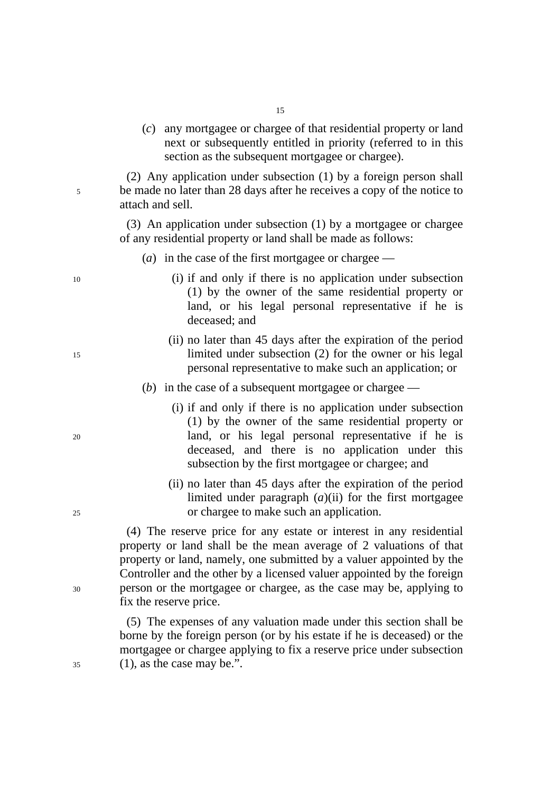(*c*) any mortgagee or chargee of that residential property or land next or subsequently entitled in priority (referred to in this section as the subsequent mortgagee or chargee).

(2) Any application under subsection (1) by a foreign person shall 5 be made no later than 28 days after he receives a copy of the notice to attach and sell.

> (3) An application under subsection (1) by a mortgagee or chargee of any residential property or land shall be made as follows:

- (*a*) in the case of the first mortgagee or chargee —
- 10 (i) if and only if there is no application under subsection (1) by the owner of the same residential property or land, or his legal personal representative if he is deceased; and
- (ii) no later than 45 days after the expiration of the period 15 limited under subsection (2) for the owner or his legal personal representative to make such an application; or
	- (*b*) in the case of a subsequent mortgagee or chargee —
- (i) if and only if there is no application under subsection (1) by the owner of the same residential property or 20 land, or his legal personal representative if he is deceased, and there is no application under this subsection by the first mortgagee or chargee; and
- (ii) no later than 45 days after the expiration of the period limited under paragraph (*a*)(ii) for the first mortgagee 25 or chargee to make such an application.

(4) The reserve price for any estate or interest in any residential property or land shall be the mean average of 2 valuations of that property or land, namely, one submitted by a valuer appointed by the Controller and the other by a licensed valuer appointed by the foreign 30 person or the mortgagee or chargee, as the case may be, applying to fix the reserve price.

(5) The expenses of any valuation made under this section shall be borne by the foreign person (or by his estate if he is deceased) or the mortgagee or chargee applying to fix a reserve price under subsection  $35$  (1), as the case may be.".

15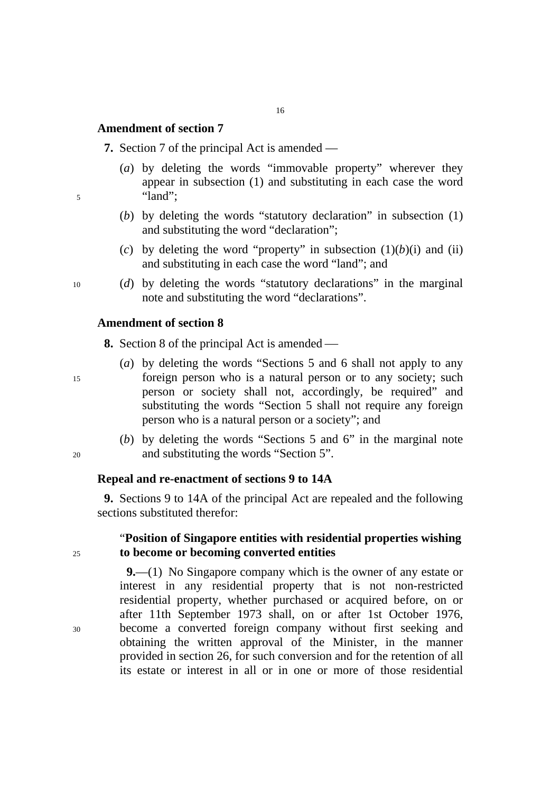# **Amendment of section 7**

**7.** Section 7 of the principal Act is amended —

- (*a*) by deleting the words "immovable property" wherever they appear in subsection (1) and substituting in each case the word 5 "land";
	- (*b*) by deleting the words "statutory declaration" in subsection (1) and substituting the word "declaration";
	- (*c*) by deleting the word "property" in subsection  $(1)(b)(i)$  and  $(ii)$ and substituting in each case the word "land"; and
- 10 (*d*) by deleting the words "statutory declarations" in the marginal note and substituting the word "declarations".

#### **Amendment of section 8**

**8.** Section 8 of the principal Act is amended —

- (*a*) by deleting the words "Sections 5 and 6 shall not apply to any 15 foreign person who is a natural person or to any society; such person or society shall not, accordingly, be required" and substituting the words "Section 5 shall not require any foreign person who is a natural person or a society"; and
- (*b*) by deleting the words "Sections 5 and 6" in the marginal note 20 and substituting the words "Section 5".

# **Repeal and re-enactment of sections 9 to 14A**

**9.** Sections 9 to 14A of the principal Act are repealed and the following sections substituted therefor:

# "**Position of Singapore entities with residential properties wishing**  <sup>25</sup>**to become or becoming converted entities**

**9.**—(1) No Singapore company which is the owner of any estate or interest in any residential property that is not non-restricted residential property, whether purchased or acquired before, on or after 11th September 1973 shall, on or after 1st October 1976, 30 become a converted foreign company without first seeking and obtaining the written approval of the Minister, in the manner provided in section 26, for such conversion and for the retention of all its estate or interest in all or in one or more of those residential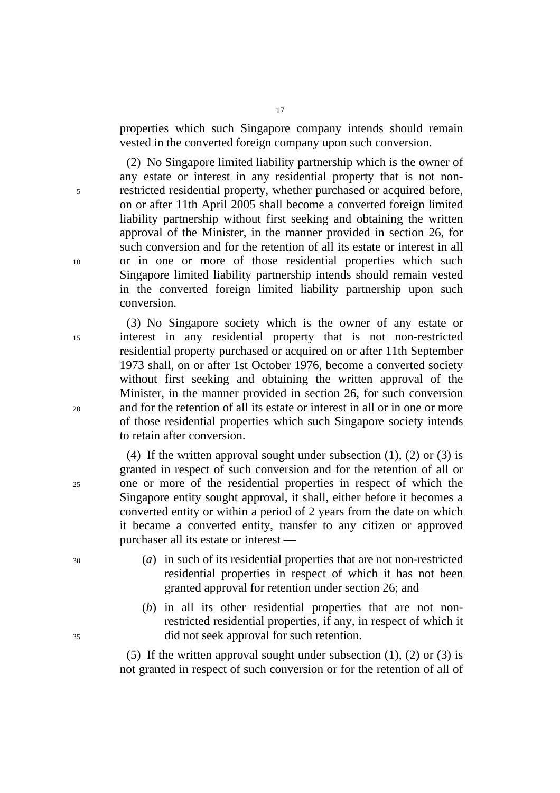properties which such Singapore company intends should remain vested in the converted foreign company upon such conversion.

(2) No Singapore limited liability partnership which is the owner of any estate or interest in any residential property that is not non-5 restricted residential property, whether purchased or acquired before, on or after 11th April 2005 shall become a converted foreign limited liability partnership without first seeking and obtaining the written approval of the Minister, in the manner provided in section 26, for such conversion and for the retention of all its estate or interest in all 10 or in one or more of those residential properties which such Singapore limited liability partnership intends should remain vested in the converted foreign limited liability partnership upon such conversion.

(3) No Singapore society which is the owner of any estate or 15 interest in any residential property that is not non-restricted residential property purchased or acquired on or after 11th September 1973 shall, on or after 1st October 1976, become a converted society without first seeking and obtaining the written approval of the Minister, in the manner provided in section 26, for such conversion 20 and for the retention of all its estate or interest in all or in one or more of those residential properties which such Singapore society intends to retain after conversion.

(4) If the written approval sought under subsection  $(1)$ ,  $(2)$  or  $(3)$  is granted in respect of such conversion and for the retention of all or 25 one or more of the residential properties in respect of which the Singapore entity sought approval, it shall, either before it becomes a converted entity or within a period of 2 years from the date on which it became a converted entity, transfer to any citizen or approved purchaser all its estate or interest —

- 30 (*a*) in such of its residential properties that are not non-restricted residential properties in respect of which it has not been granted approval for retention under section 26; and
- (*b*) in all its other residential properties that are not nonrestricted residential properties, if any, in respect of which it 35 did not seek approval for such retention.

(5) If the written approval sought under subsection (1), (2) or (3) is not granted in respect of such conversion or for the retention of all of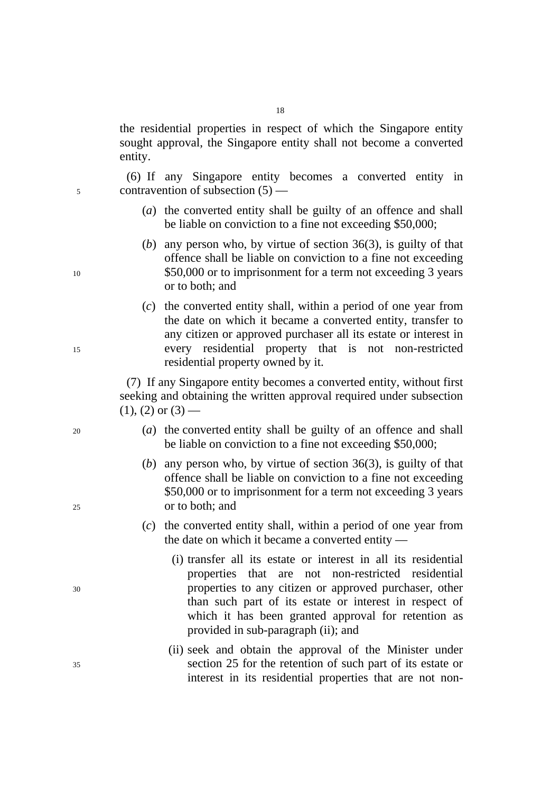the residential properties in respect of which the Singapore entity sought approval, the Singapore entity shall not become a converted entity.

(6) If any Singapore entity becomes a converted entity in 5 contravention of subsection (5) —

- (*a*) the converted entity shall be guilty of an offence and shall be liable on conviction to a fine not exceeding \$50,000;
- (*b*) any person who, by virtue of section 36(3), is guilty of that offence shall be liable on conviction to a fine not exceeding 10 \$50,000 or to imprisonment for a term not exceeding 3 years or to both; and
- (*c*) the converted entity shall, within a period of one year from the date on which it became a converted entity, transfer to any citizen or approved purchaser all its estate or interest in 15 every residential property that is not non-restricted residential property owned by it.

(7) If any Singapore entity becomes a converted entity, without first seeking and obtaining the written approval required under subsection  $(1)$ ,  $(2)$  or  $(3)$  —

- 20 (*a*) the converted entity shall be guilty of an offence and shall be liable on conviction to a fine not exceeding \$50,000;
- (*b*) any person who, by virtue of section 36(3), is guilty of that offence shall be liable on conviction to a fine not exceeding \$50,000 or to imprisonment for a term not exceeding 3 years 25 or to both; and
	- (*c*) the converted entity shall, within a period of one year from the date on which it became a converted entity —
- (i) transfer all its estate or interest in all its residential properties that are not non-restricted residential 30 properties to any citizen or approved purchaser, other than such part of its estate or interest in respect of which it has been granted approval for retention as provided in sub-paragraph (ii); and
- (ii) seek and obtain the approval of the Minister under 35 section 25 for the retention of such part of its estate or interest in its residential properties that are not non-

18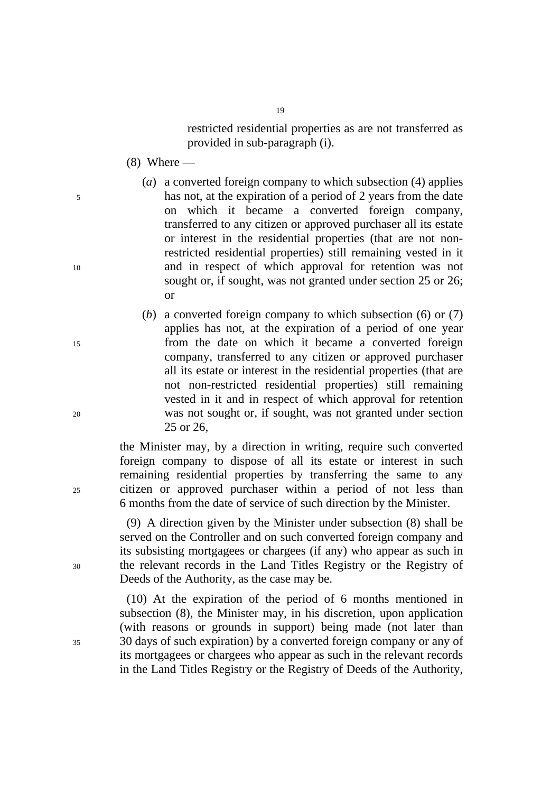restricted residential properties as are not transferred as provided in sub-paragraph (i).

- $(8)$  Where —
- (*a*) a converted foreign company to which subsection (4) applies 5 has not, at the expiration of a period of 2 years from the date on which it became a converted foreign company, transferred to any citizen or approved purchaser all its estate or interest in the residential properties (that are not nonrestricted residential properties) still remaining vested in it 10 and in respect of which approval for retention was not sought or, if sought, was not granted under section 25 or 26; or

19

(*b*) a converted foreign company to which subsection (6) or (7) applies has not, at the expiration of a period of one year 15 from the date on which it became a converted foreign company, transferred to any citizen or approved purchaser all its estate or interest in the residential properties (that are not non-restricted residential properties) still remaining vested in it and in respect of which approval for retention 20 was not sought or, if sought, was not granted under section 25 or 26,

the Minister may, by a direction in writing, require such converted foreign company to dispose of all its estate or interest in such remaining residential properties by transferring the same to any 25 citizen or approved purchaser within a period of not less than 6 months from the date of service of such direction by the Minister.

(9) A direction given by the Minister under subsection (8) shall be served on the Controller and on such converted foreign company and its subsisting mortgagees or chargees (if any) who appear as such in 30 the relevant records in the Land Titles Registry or the Registry of Deeds of the Authority, as the case may be.

(10) At the expiration of the period of 6 months mentioned in subsection (8), the Minister may, in his discretion, upon application (with reasons or grounds in support) being made (not later than 35 30 days of such expiration) by a converted foreign company or any of its mortgagees or chargees who appear as such in the relevant records in the Land Titles Registry or the Registry of Deeds of the Authority,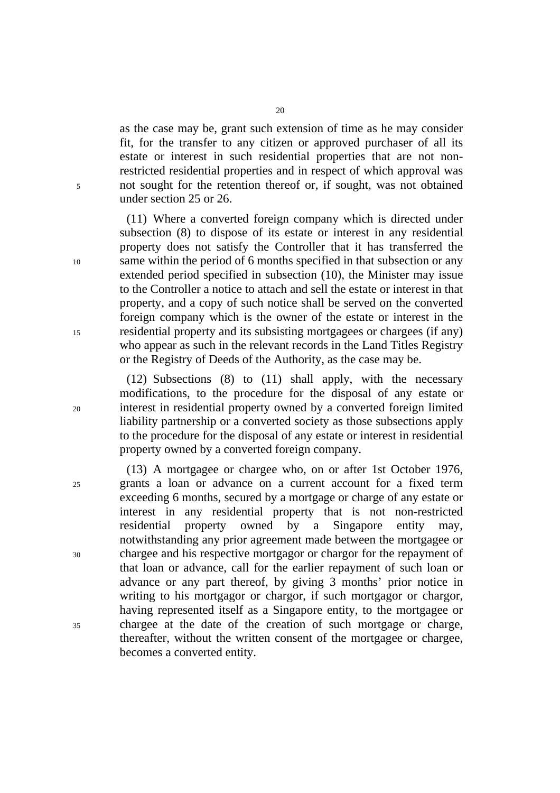as the case may be, grant such extension of time as he may consider fit, for the transfer to any citizen or approved purchaser of all its estate or interest in such residential properties that are not nonrestricted residential properties and in respect of which approval was 5 not sought for the retention thereof or, if sought, was not obtained under section 25 or 26.

(11) Where a converted foreign company which is directed under subsection (8) to dispose of its estate or interest in any residential property does not satisfy the Controller that it has transferred the 10 same within the period of 6 months specified in that subsection or any extended period specified in subsection (10), the Minister may issue to the Controller a notice to attach and sell the estate or interest in that property, and a copy of such notice shall be served on the converted foreign company which is the owner of the estate or interest in the 15 residential property and its subsisting mortgagees or chargees (if any) who appear as such in the relevant records in the Land Titles Registry or the Registry of Deeds of the Authority, as the case may be.

(12) Subsections (8) to (11) shall apply, with the necessary modifications, to the procedure for the disposal of any estate or 20 interest in residential property owned by a converted foreign limited liability partnership or a converted society as those subsections apply to the procedure for the disposal of any estate or interest in residential property owned by a converted foreign company.

(13) A mortgagee or chargee who, on or after 1st October 1976, 25 grants a loan or advance on a current account for a fixed term exceeding 6 months, secured by a mortgage or charge of any estate or interest in any residential property that is not non-restricted residential property owned by a Singapore entity may, notwithstanding any prior agreement made between the mortgagee or 30 chargee and his respective mortgagor or chargor for the repayment of that loan or advance, call for the earlier repayment of such loan or advance or any part thereof, by giving 3 months' prior notice in writing to his mortgagor or chargor, if such mortgagor or chargor, having represented itself as a Singapore entity, to the mortgagee or 35 chargee at the date of the creation of such mortgage or charge, thereafter, without the written consent of the mortgagee or chargee, becomes a converted entity.

20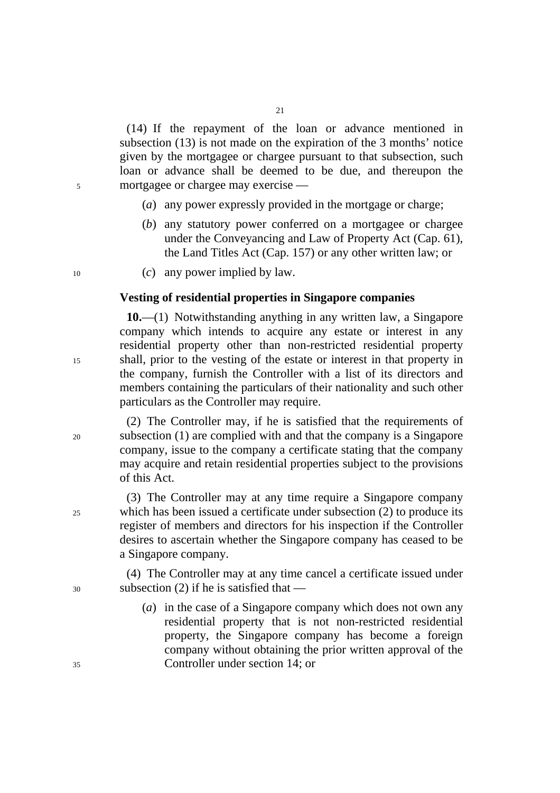(14) If the repayment of the loan or advance mentioned in subsection (13) is not made on the expiration of the 3 months' notice given by the mortgagee or chargee pursuant to that subsection, such loan or advance shall be deemed to be due, and thereupon the 5 mortgagee or chargee may exercise —

- (*a*) any power expressly provided in the mortgage or charge;
- (*b*) any statutory power conferred on a mortgagee or chargee under the Conveyancing and Law of Property Act (Cap. 61), the Land Titles Act (Cap. 157) or any other written law; or
- 10 (*c*) any power implied by law.

#### **Vesting of residential properties in Singapore companies**

**10.**—(1) Notwithstanding anything in any written law, a Singapore company which intends to acquire any estate or interest in any residential property other than non-restricted residential property 15 shall, prior to the vesting of the estate or interest in that property in the company, furnish the Controller with a list of its directors and members containing the particulars of their nationality and such other particulars as the Controller may require.

(2) The Controller may, if he is satisfied that the requirements of 20 subsection (1) are complied with and that the company is a Singapore company, issue to the company a certificate stating that the company may acquire and retain residential properties subject to the provisions of this Act.

(3) The Controller may at any time require a Singapore company 25 which has been issued a certificate under subsection (2) to produce its register of members and directors for his inspection if the Controller desires to ascertain whether the Singapore company has ceased to be a Singapore company.

(4) The Controller may at any time cancel a certificate issued under 30 subsection (2) if he is satisfied that —

(*a*) in the case of a Singapore company which does not own any residential property that is not non-restricted residential property, the Singapore company has become a foreign company without obtaining the prior written approval of the 35 Controller under section 14; or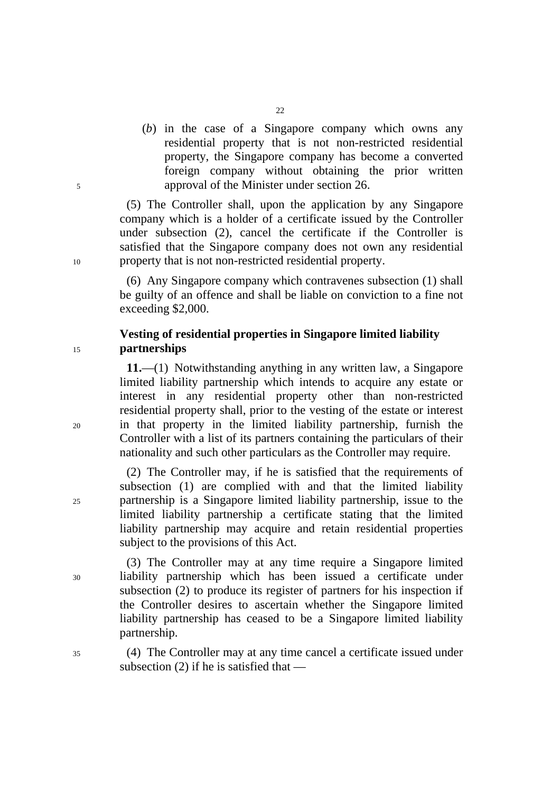(*b*) in the case of a Singapore company which owns any residential property that is not non-restricted residential property, the Singapore company has become a converted foreign company without obtaining the prior written 5 approval of the Minister under section 26.

(5) The Controller shall, upon the application by any Singapore company which is a holder of a certificate issued by the Controller under subsection (2), cancel the certificate if the Controller is satisfied that the Singapore company does not own any residential 10 property that is not non-restricted residential property.

> (6) Any Singapore company which contravenes subsection (1) shall be guilty of an offence and shall be liable on conviction to a fine not exceeding \$2,000.

# **Vesting of residential properties in Singapore limited liability**  <sup>15</sup>**partnerships**

**11.**—(1) Notwithstanding anything in any written law, a Singapore limited liability partnership which intends to acquire any estate or interest in any residential property other than non-restricted residential property shall, prior to the vesting of the estate or interest 20 in that property in the limited liability partnership, furnish the Controller with a list of its partners containing the particulars of their nationality and such other particulars as the Controller may require.

(2) The Controller may, if he is satisfied that the requirements of subsection (1) are complied with and that the limited liability 25 partnership is a Singapore limited liability partnership, issue to the limited liability partnership a certificate stating that the limited liability partnership may acquire and retain residential properties subject to the provisions of this Act.

(3) The Controller may at any time require a Singapore limited 30 liability partnership which has been issued a certificate under subsection (2) to produce its register of partners for his inspection if the Controller desires to ascertain whether the Singapore limited liability partnership has ceased to be a Singapore limited liability partnership.

35 (4) The Controller may at any time cancel a certificate issued under subsection (2) if he is satisfied that —

22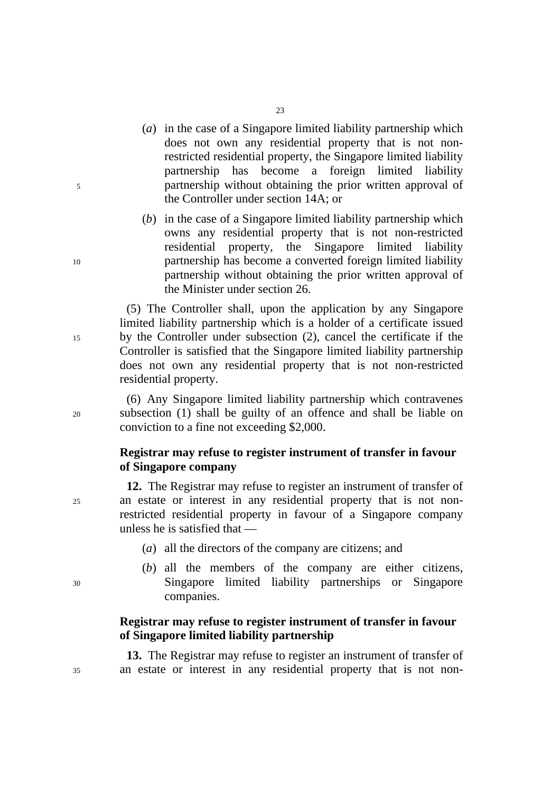- (*a*) in the case of a Singapore limited liability partnership which does not own any residential property that is not nonrestricted residential property, the Singapore limited liability partnership has become a foreign limited liability 5 partnership without obtaining the prior written approval of the Controller under section 14A; or
- (*b*) in the case of a Singapore limited liability partnership which owns any residential property that is not non-restricted residential property, the Singapore limited liability 10 partnership has become a converted foreign limited liability partnership without obtaining the prior written approval of the Minister under section 26.

(5) The Controller shall, upon the application by any Singapore limited liability partnership which is a holder of a certificate issued 15 by the Controller under subsection (2), cancel the certificate if the Controller is satisfied that the Singapore limited liability partnership does not own any residential property that is not non-restricted residential property.

(6) Any Singapore limited liability partnership which contravenes 20 subsection (1) shall be guilty of an offence and shall be liable on conviction to a fine not exceeding \$2,000.

# **Registrar may refuse to register instrument of transfer in favour of Singapore company**

**12.** The Registrar may refuse to register an instrument of transfer of 25 an estate or interest in any residential property that is not nonrestricted residential property in favour of a Singapore company unless he is satisfied that —

- (*a*) all the directors of the company are citizens; and
- (*b*) all the members of the company are either citizens, 30 Singapore limited liability partnerships or Singapore companies.

# **Registrar may refuse to register instrument of transfer in favour of Singapore limited liability partnership**

**13.** The Registrar may refuse to register an instrument of transfer of 35 an estate or interest in any residential property that is not non-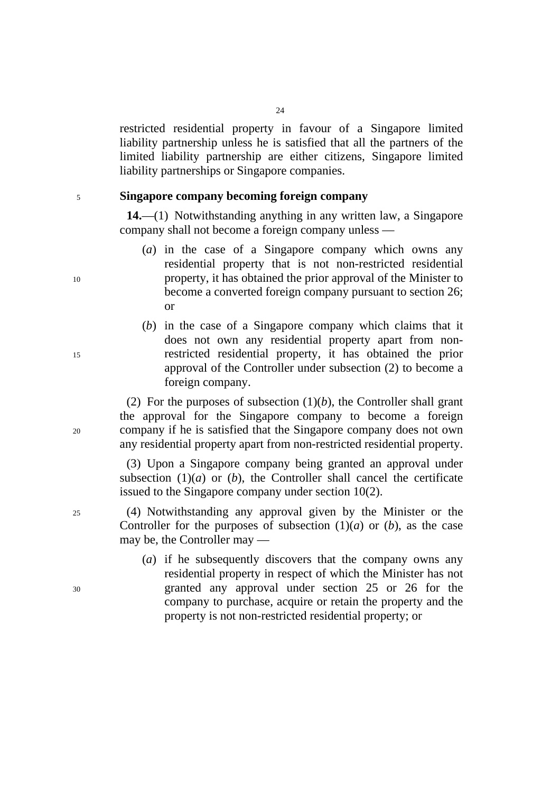restricted residential property in favour of a Singapore limited liability partnership unless he is satisfied that all the partners of the limited liability partnership are either citizens, Singapore limited liability partnerships or Singapore companies.

### <sup>5</sup>**Singapore company becoming foreign company**

**14.**—(1) Notwithstanding anything in any written law, a Singapore company shall not become a foreign company unless —

- (*a*) in the case of a Singapore company which owns any residential property that is not non-restricted residential 10 property, it has obtained the prior approval of the Minister to become a converted foreign company pursuant to section 26; or
- (*b*) in the case of a Singapore company which claims that it does not own any residential property apart from non-15 restricted residential property, it has obtained the prior approval of the Controller under subsection (2) to become a foreign company.

(2) For the purposes of subsection  $(1)(b)$ , the Controller shall grant the approval for the Singapore company to become a foreign 20 company if he is satisfied that the Singapore company does not own any residential property apart from non-restricted residential property.

> (3) Upon a Singapore company being granted an approval under subsection  $(1)(a)$  or  $(b)$ , the Controller shall cancel the certificate issued to the Singapore company under section 10(2).

- 25 (4) Notwithstanding any approval given by the Minister or the Controller for the purposes of subsection  $(1)(a)$  or  $(b)$ , as the case may be, the Controller may —
- (*a*) if he subsequently discovers that the company owns any residential property in respect of which the Minister has not 30 granted any approval under section 25 or 26 for the company to purchase, acquire or retain the property and the property is not non-restricted residential property; or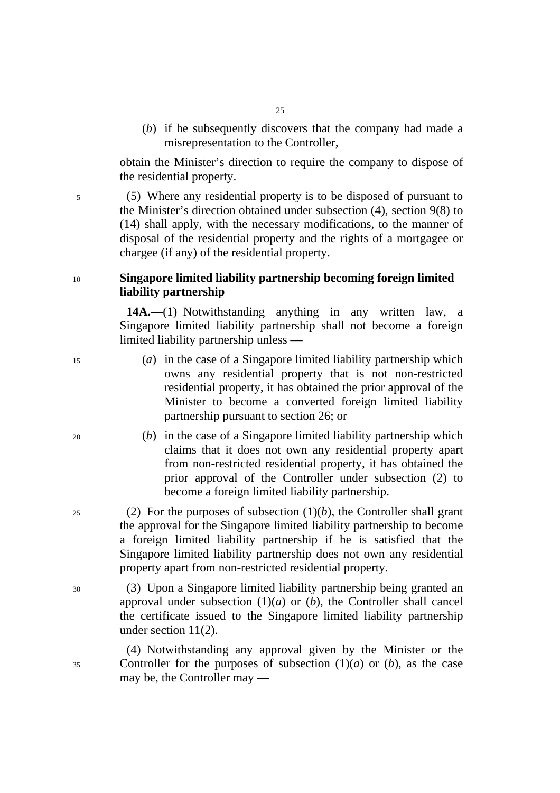(*b*) if he subsequently discovers that the company had made a misrepresentation to the Controller,

obtain the Minister's direction to require the company to dispose of the residential property.

5 (5) Where any residential property is to be disposed of pursuant to the Minister's direction obtained under subsection (4), section 9(8) to (14) shall apply, with the necessary modifications, to the manner of disposal of the residential property and the rights of a mortgagee or chargee (if any) of the residential property.

# <sup>10</sup>**Singapore limited liability partnership becoming foreign limited liability partnership**

**14A.**—(1) Notwithstanding anything in any written law, a Singapore limited liability partnership shall not become a foreign limited liability partnership unless —

- 15 (*a*) in the case of a Singapore limited liability partnership which owns any residential property that is not non-restricted residential property, it has obtained the prior approval of the Minister to become a converted foreign limited liability partnership pursuant to section 26; or
- 20 (*b*) in the case of a Singapore limited liability partnership which claims that it does not own any residential property apart from non-restricted residential property, it has obtained the prior approval of the Controller under subsection (2) to become a foreign limited liability partnership.
- 25 (2) For the purposes of subsection  $(1)(b)$ , the Controller shall grant the approval for the Singapore limited liability partnership to become a foreign limited liability partnership if he is satisfied that the Singapore limited liability partnership does not own any residential property apart from non-restricted residential property.
- 30 (3) Upon a Singapore limited liability partnership being granted an approval under subsection  $(1)(a)$  or  $(b)$ , the Controller shall cancel the certificate issued to the Singapore limited liability partnership under section 11(2).

(4) Notwithstanding any approval given by the Minister or the 35 Controller for the purposes of subsection (1)(*a*) or (*b*), as the case may be, the Controller may —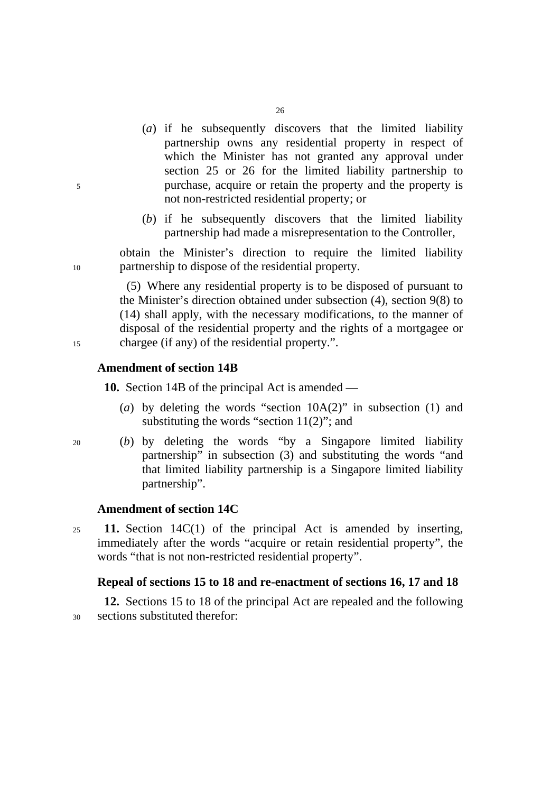- (*a*) if he subsequently discovers that the limited liability partnership owns any residential property in respect of which the Minister has not granted any approval under section 25 or 26 for the limited liability partnership to 5 purchase, acquire or retain the property and the property is not non-restricted residential property; or
	- (*b*) if he subsequently discovers that the limited liability partnership had made a misrepresentation to the Controller,

obtain the Minister's direction to require the limited liability 10 partnership to dispose of the residential property.

(5) Where any residential property is to be disposed of pursuant to the Minister's direction obtained under subsection (4), section 9(8) to (14) shall apply, with the necessary modifications, to the manner of disposal of the residential property and the rights of a mortgagee or 15 chargee (if any) of the residential property.".

# **Amendment of section 14B**

**10.** Section 14B of the principal Act is amended —

- (*a*) by deleting the words "section 10A(2)" in subsection (1) and substituting the words "section 11(2)"; and
- 20 (*b*) by deleting the words "by a Singapore limited liability partnership" in subsection (3) and substituting the words "and that limited liability partnership is a Singapore limited liability partnership".

#### **Amendment of section 14C**

<sup>25</sup>**11.** Section 14C(1) of the principal Act is amended by inserting, immediately after the words "acquire or retain residential property", the words "that is not non-restricted residential property".

#### **Repeal of sections 15 to 18 and re-enactment of sections 16, 17 and 18**

**12.** Sections 15 to 18 of the principal Act are repealed and the following 30 sections substituted therefor: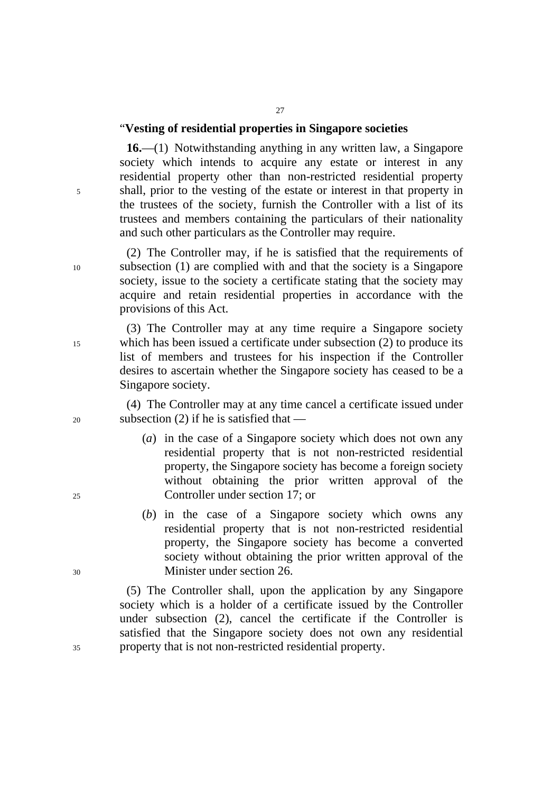# "**Vesting of residential properties in Singapore societies**

**16.**—(1) Notwithstanding anything in any written law, a Singapore society which intends to acquire any estate or interest in any residential property other than non-restricted residential property 5 shall, prior to the vesting of the estate or interest in that property in the trustees of the society, furnish the Controller with a list of its trustees and members containing the particulars of their nationality and such other particulars as the Controller may require.

(2) The Controller may, if he is satisfied that the requirements of 10 subsection (1) are complied with and that the society is a Singapore society, issue to the society a certificate stating that the society may acquire and retain residential properties in accordance with the provisions of this Act.

(3) The Controller may at any time require a Singapore society 15 which has been issued a certificate under subsection (2) to produce its list of members and trustees for his inspection if the Controller desires to ascertain whether the Singapore society has ceased to be a Singapore society.

(4) The Controller may at any time cancel a certificate issued under 20 subsection (2) if he is satisfied that —

- (*a*) in the case of a Singapore society which does not own any residential property that is not non-restricted residential property, the Singapore society has become a foreign society without obtaining the prior written approval of the 25 Controller under section 17; or
- (*b*) in the case of a Singapore society which owns any residential property that is not non-restricted residential property, the Singapore society has become a converted society without obtaining the prior written approval of the 30 Minister under section 26.

(5) The Controller shall, upon the application by any Singapore society which is a holder of a certificate issued by the Controller under subsection (2), cancel the certificate if the Controller is satisfied that the Singapore society does not own any residential 35 property that is not non-restricted residential property.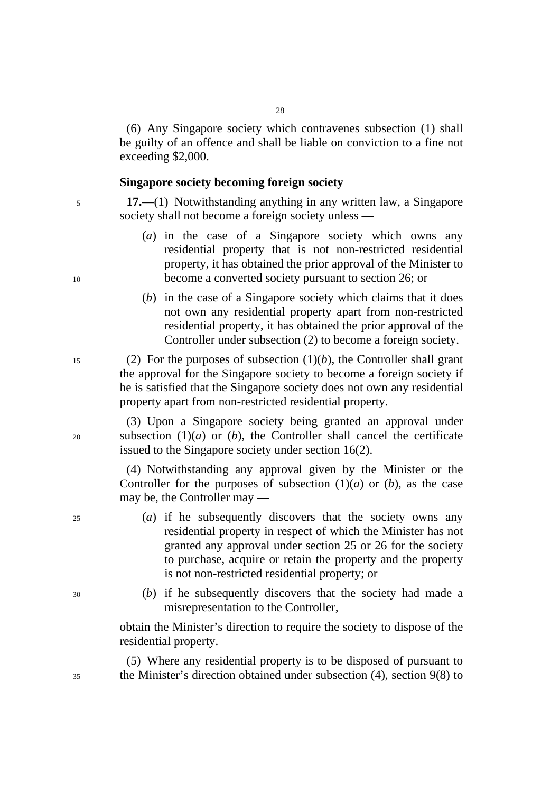(6) Any Singapore society which contravenes subsection (1) shall be guilty of an offence and shall be liable on conviction to a fine not exceeding \$2,000.

#### **Singapore society becoming foreign society**

<sup>5</sup>**17.**—(1) Notwithstanding anything in any written law, a Singapore society shall not become a foreign society unless —

- (*a*) in the case of a Singapore society which owns any residential property that is not non-restricted residential property, it has obtained the prior approval of the Minister to 10 become a converted society pursuant to section 26; or
	- (*b*) in the case of a Singapore society which claims that it does not own any residential property apart from non-restricted residential property, it has obtained the prior approval of the Controller under subsection (2) to become a foreign society.

15 (2) For the purposes of subsection  $(1)(b)$ , the Controller shall grant the approval for the Singapore society to become a foreign society if he is satisfied that the Singapore society does not own any residential property apart from non-restricted residential property.

(3) Upon a Singapore society being granted an approval under 20 subsection (1)(*a*) or (*b*), the Controller shall cancel the certificate issued to the Singapore society under section 16(2).

> (4) Notwithstanding any approval given by the Minister or the Controller for the purposes of subsection  $(1)(a)$  or  $(b)$ , as the case may be, the Controller may —

- 25 (*a*) if he subsequently discovers that the society owns any residential property in respect of which the Minister has not granted any approval under section 25 or 26 for the society to purchase, acquire or retain the property and the property is not non-restricted residential property; or
- 30 (*b*) if he subsequently discovers that the society had made a misrepresentation to the Controller,

obtain the Minister's direction to require the society to dispose of the residential property.

(5) Where any residential property is to be disposed of pursuant to 35 the Minister's direction obtained under subsection (4), section 9(8) to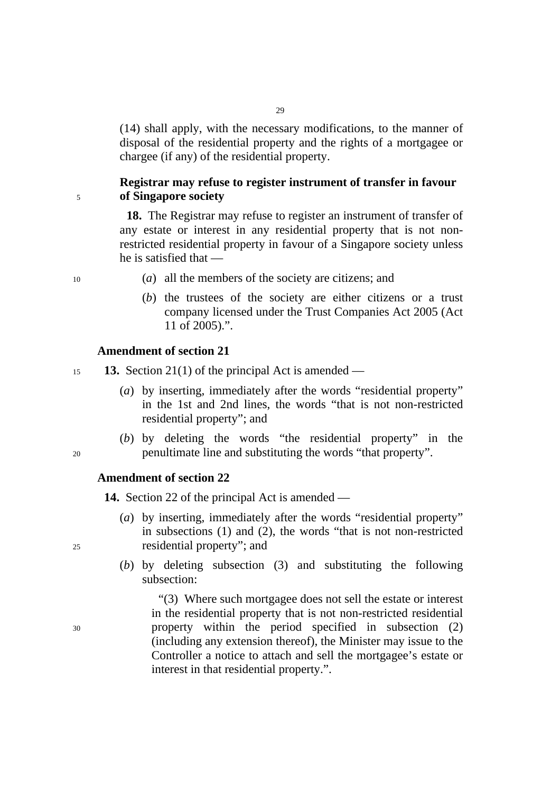(14) shall apply, with the necessary modifications, to the manner of disposal of the residential property and the rights of a mortgagee or chargee (if any) of the residential property.

29

# **Registrar may refuse to register instrument of transfer in favour**  <sup>5</sup>**of Singapore society**

**18.** The Registrar may refuse to register an instrument of transfer of any estate or interest in any residential property that is not nonrestricted residential property in favour of a Singapore society unless he is satisfied that —

- 10 (*a*) all the members of the society are citizens; and
	- (*b*) the trustees of the society are either citizens or a trust company licensed under the Trust Companies Act 2005 (Act 11 of 2005).".

# **Amendment of section 21**

<sup>15</sup>**13.** Section 21(1) of the principal Act is amended —

- (*a*) by inserting, immediately after the words "residential property" in the 1st and 2nd lines, the words "that is not non-restricted residential property"; and
- (*b*) by deleting the words "the residential property" in the 20 penultimate line and substituting the words "that property".

# **Amendment of section 22**

**14.** Section 22 of the principal Act is amended —

- (*a*) by inserting, immediately after the words "residential property" in subsections (1) and (2), the words "that is not non-restricted 25 residential property"; and
	- (*b*) by deleting subsection (3) and substituting the following subsection:

"(3) Where such mortgagee does not sell the estate or interest in the residential property that is not non-restricted residential 30 property within the period specified in subsection (2) (including any extension thereof), the Minister may issue to the Controller a notice to attach and sell the mortgagee's estate or interest in that residential property.".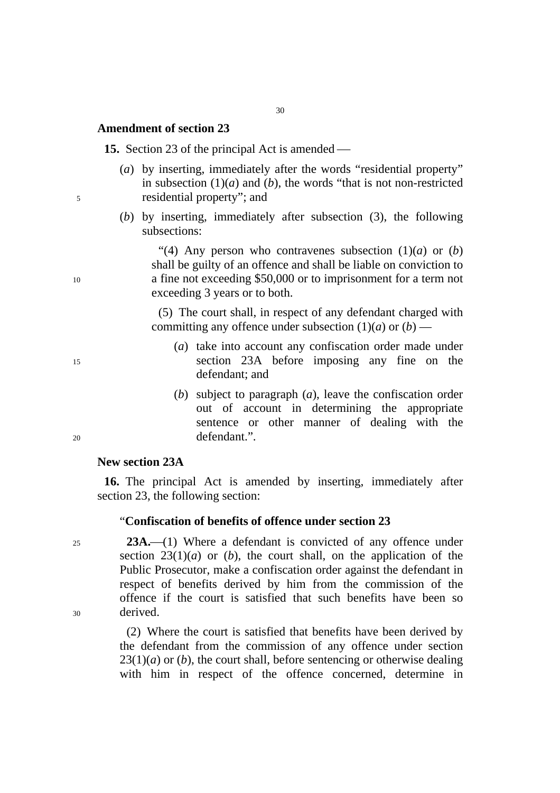# **Amendment of section 23**

**15.** Section 23 of the principal Act is amended —

- (*a*) by inserting, immediately after the words "residential property" in subsection  $(1)(a)$  and  $(b)$ , the words "that is not non-restricted" 5 residential property"; and
	- (*b*) by inserting, immediately after subsection (3), the following subsections:

"(4) Any person who contravenes subsection  $(1)(a)$  or  $(b)$ shall be guilty of an offence and shall be liable on conviction to 10 a fine not exceeding \$50,000 or to imprisonment for a term not exceeding 3 years or to both.

> (5) The court shall, in respect of any defendant charged with committing any offence under subsection  $(1)(a)$  or  $(b)$  –

- (*a*) take into account any confiscation order made under 15 section 23A before imposing any fine on the defendant; and
- (*b*) subject to paragraph (*a*), leave the confiscation order out of account in determining the appropriate sentence or other manner of dealing with the 20 defendant.".

# **New section 23A**

**16.** The principal Act is amended by inserting, immediately after section 23, the following section:

## "**Confiscation of benefits of offence under section 23**

25 **23A.** (1) Where a defendant is convicted of any offence under section  $23(1)(a)$  or (*b*), the court shall, on the application of the Public Prosecutor, make a confiscation order against the defendant in respect of benefits derived by him from the commission of the offence if the court is satisfied that such benefits have been so 30 derived.

> (2) Where the court is satisfied that benefits have been derived by the defendant from the commission of any offence under section  $23(1)(a)$  or (*b*), the court shall, before sentencing or otherwise dealing with him in respect of the offence concerned, determine in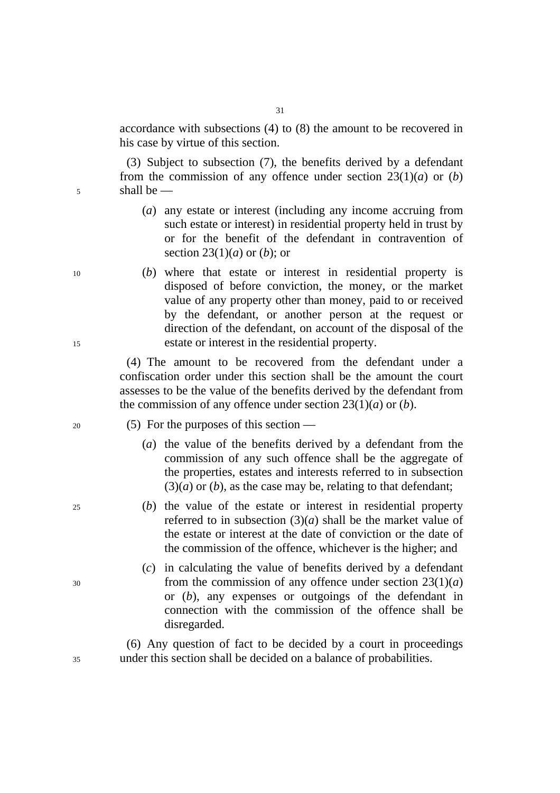accordance with subsections (4) to (8) the amount to be recovered in his case by virtue of this section.

(3) Subject to subsection (7), the benefits derived by a defendant from the commission of any offence under section  $23(1)(a)$  or (*b*) 5 shall be —

- (*a*) any estate or interest (including any income accruing from such estate or interest) in residential property held in trust by or for the benefit of the defendant in contravention of section 23(1)(*a*) or (*b*); or
- 10 (*b*) where that estate or interest in residential property is disposed of before conviction, the money, or the market value of any property other than money, paid to or received by the defendant, or another person at the request or direction of the defendant, on account of the disposal of the 15 estate or interest in the residential property.

(4) The amount to be recovered from the defendant under a confiscation order under this section shall be the amount the court assesses to be the value of the benefits derived by the defendant from the commission of any offence under section 23(1)(*a*) or (*b*).

- 20 (5) For the purposes of this section
	- (*a*) the value of the benefits derived by a defendant from the commission of any such offence shall be the aggregate of the properties, estates and interests referred to in subsection  $(3)(a)$  or  $(b)$ , as the case may be, relating to that defendant;
- 25 (*b*) the value of the estate or interest in residential property referred to in subsection  $(3)(a)$  shall be the market value of the estate or interest at the date of conviction or the date of the commission of the offence, whichever is the higher; and
- (*c*) in calculating the value of benefits derived by a defendant  $30$  from the commission of any offence under section  $23(1)(a)$ or (*b*), any expenses or outgoings of the defendant in connection with the commission of the offence shall be disregarded.

(6) Any question of fact to be decided by a court in proceedings 35 under this section shall be decided on a balance of probabilities.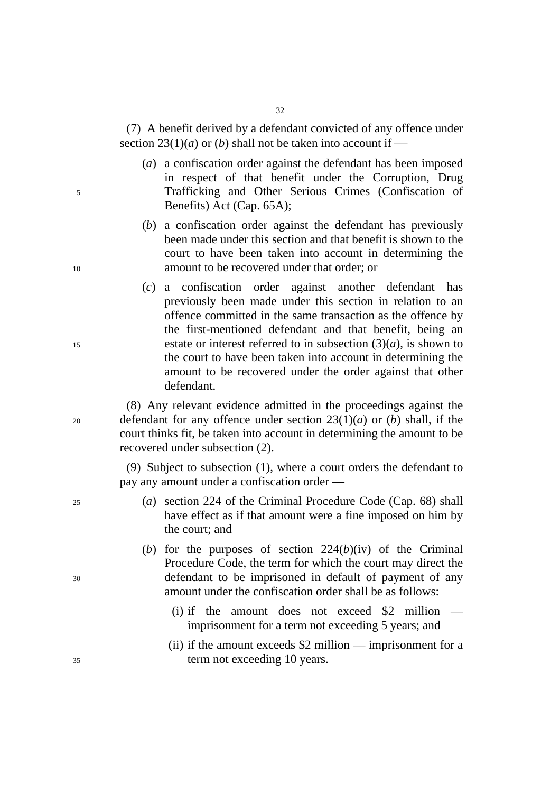(7) A benefit derived by a defendant convicted of any offence under section  $23(1)(a)$  or (*b*) shall not be taken into account if —

- (*a*) a confiscation order against the defendant has been imposed in respect of that benefit under the Corruption, Drug 5 Trafficking and Other Serious Crimes (Confiscation of Benefits) Act (Cap. 65A);
- (*b*) a confiscation order against the defendant has previously been made under this section and that benefit is shown to the court to have been taken into account in determining the 10 amount to be recovered under that order; or
- (*c*) a confiscation order against another defendant has previously been made under this section in relation to an offence committed in the same transaction as the offence by the first-mentioned defendant and that benefit, being an 15 estate or interest referred to in subsection  $(3)(a)$ , is shown to the court to have been taken into account in determining the amount to be recovered under the order against that other defendant.

(8) Any relevant evidence admitted in the proceedings against the 20 defendant for any offence under section 23(1)(*a*) or (*b*) shall, if the court thinks fit, be taken into account in determining the amount to be recovered under subsection (2).

> (9) Subject to subsection (1), where a court orders the defendant to pay any amount under a confiscation order —

- 25 (*a*) section 224 of the Criminal Procedure Code (Cap. 68) shall have effect as if that amount were a fine imposed on him by the court; and
- (*b*) for the purposes of section 224(*b*)(iv) of the Criminal Procedure Code, the term for which the court may direct the 30 defendant to be imprisoned in default of payment of any amount under the confiscation order shall be as follows:
	- (i) if the amount does not exceed  $$2$  million imprisonment for a term not exceeding 5 years; and
- (ii) if the amount exceeds \$2 million imprisonment for a 35 term not exceeding 10 years.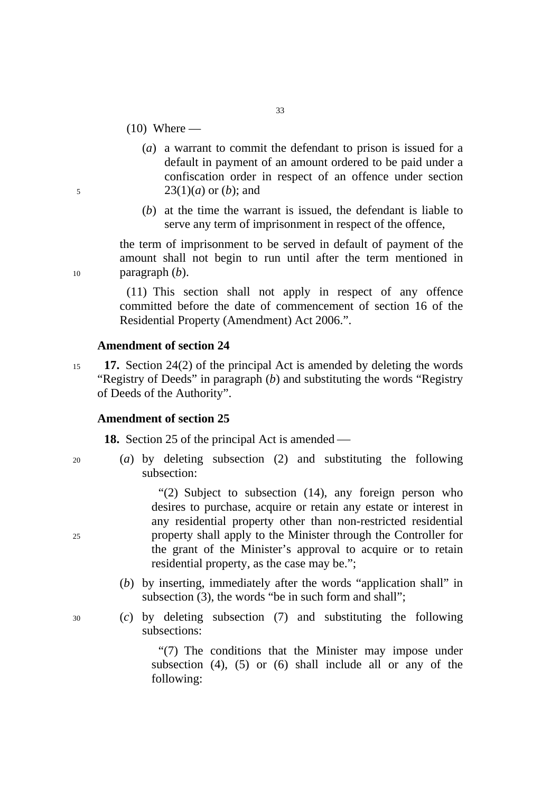- $(10)$  Where —
- (*a*) a warrant to commit the defendant to prison is issued for a default in payment of an amount ordered to be paid under a confiscation order in respect of an offence under section 5 23(1)(*a*) or (*b*); and
	- (*b*) at the time the warrant is issued, the defendant is liable to serve any term of imprisonment in respect of the offence,

the term of imprisonment to be served in default of payment of the amount shall not begin to run until after the term mentioned in 10 paragraph (*b*).

> (11) This section shall not apply in respect of any offence committed before the date of commencement of section 16 of the Residential Property (Amendment) Act 2006.".

# **Amendment of section 24**

<sup>15</sup>**17.** Section 24(2) of the principal Act is amended by deleting the words "Registry of Deeds" in paragraph (*b*) and substituting the words "Registry of Deeds of the Authority".

# **Amendment of section 25**

**18.** Section 25 of the principal Act is amended —

- 
- 20 (*a*) by deleting subsection (2) and substituting the following subsection:

"(2) Subject to subsection (14), any foreign person who desires to purchase, acquire or retain any estate or interest in any residential property other than non-restricted residential 25 property shall apply to the Minister through the Controller for the grant of the Minister's approval to acquire or to retain residential property, as the case may be.";

- (*b*) by inserting, immediately after the words "application shall" in subsection (3), the words "be in such form and shall";
- 30 (*c*) by deleting subsection (7) and substituting the following subsections:

"(7) The conditions that the Minister may impose under subsection  $(4)$ ,  $(5)$  or  $(6)$  shall include all or any of the following: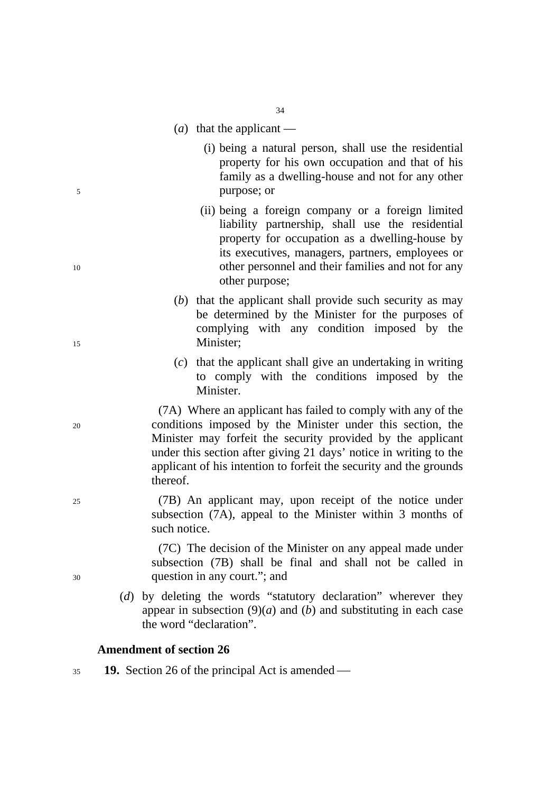- (*a*) that the applicant —
- (i) being a natural person, shall use the residential property for his own occupation and that of his family as a dwelling-house and not for any other 5 purpose; or
- (ii) being a foreign company or a foreign limited liability partnership, shall use the residential property for occupation as a dwelling-house by its executives, managers, partners, employees or 10 other personnel and their families and not for any other purpose;
- (*b*) that the applicant shall provide such security as may be determined by the Minister for the purposes of complying with any condition imposed by the 15 Minister;
	- (*c*) that the applicant shall give an undertaking in writing to comply with the conditions imposed by the Minister.

(7A) Where an applicant has failed to comply with any of the 20 conditions imposed by the Minister under this section, the Minister may forfeit the security provided by the applicant under this section after giving 21 days' notice in writing to the applicant of his intention to forfeit the security and the grounds thereof.

25 (7B) An applicant may, upon receipt of the notice under subsection (7A), appeal to the Minister within 3 months of such notice.

(7C) The decision of the Minister on any appeal made under subsection (7B) shall be final and shall not be called in 30 question in any court."; and

> (*d*) by deleting the words "statutory declaration" wherever they appear in subsection  $(9)(a)$  and  $(b)$  and substituting in each case the word "declaration".

# **Amendment of section 26**

 $19.$  Section 26 of the principal Act is amended —

34

- 
-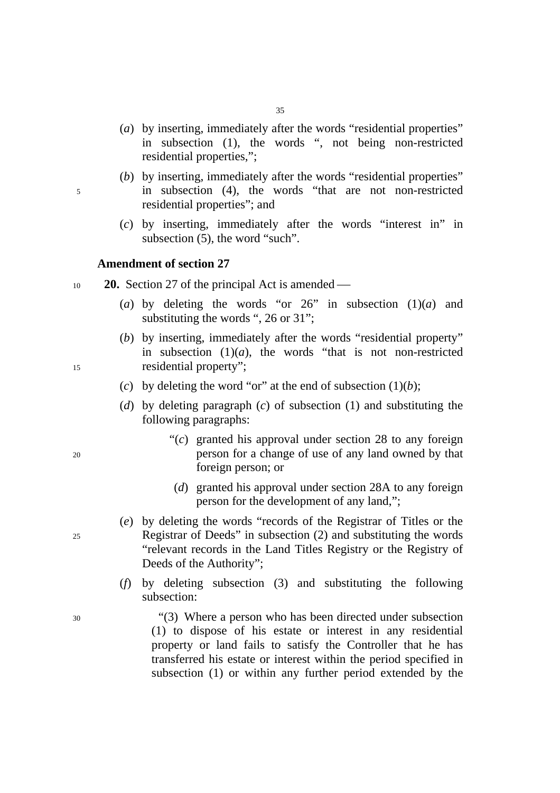- (*a*) by inserting, immediately after the words "residential properties" in subsection (1), the words ", not being non-restricted residential properties,";
- (*b*) by inserting, immediately after the words "residential properties" 5 in subsection (4), the words "that are not non-restricted residential properties"; and
	- (*c*) by inserting, immediately after the words "interest in" in subsection (5), the word "such".

### **Amendment of section 27**

- $10$  **20.** Section 27 of the principal Act is amended
	- (*a*) by deleting the words "or  $26$ " in subsection  $(1)(a)$  and substituting the words ", 26 or 31":
- (*b*) by inserting, immediately after the words "residential property" in subsection  $(1)(a)$ , the words "that is not non-restricted" 15 residential property";
	- (*c*) by deleting the word "or" at the end of subsection  $(1)(b)$ ;
	- (*d*) by deleting paragraph (*c*) of subsection (1) and substituting the following paragraphs:
- "(*c*) granted his approval under section 28 to any foreign 20 person for a change of use of any land owned by that foreign person; or
	- (*d*) granted his approval under section 28A to any foreign person for the development of any land,";
- (*e*) by deleting the words "records of the Registrar of Titles or the 25 Registrar of Deeds" in subsection (2) and substituting the words "relevant records in the Land Titles Registry or the Registry of Deeds of the Authority";
	- (*f*) by deleting subsection (3) and substituting the following subsection:

30 "(3) Where a person who has been directed under subsection (1) to dispose of his estate or interest in any residential property or land fails to satisfy the Controller that he has transferred his estate or interest within the period specified in subsection (1) or within any further period extended by the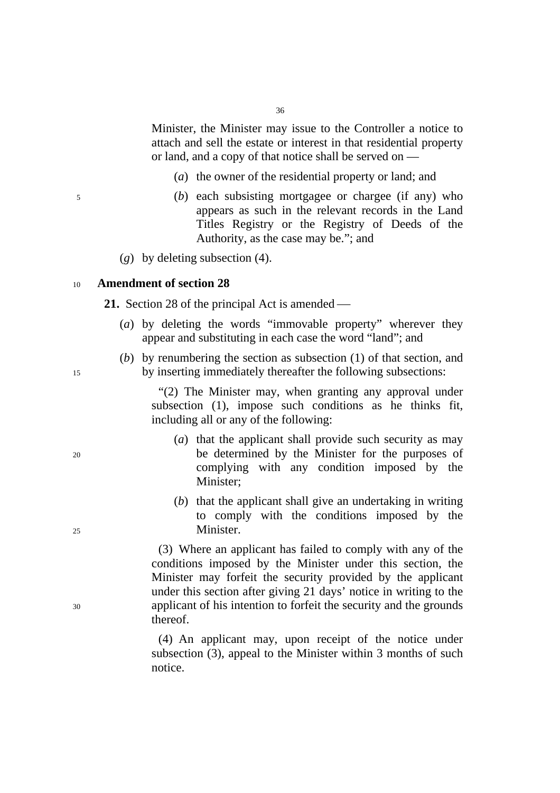Minister, the Minister may issue to the Controller a notice to attach and sell the estate or interest in that residential property or land, and a copy of that notice shall be served on —

- (*a*) the owner of the residential property or land; and
- 5 (*b*) each subsisting mortgagee or chargee (if any) who appears as such in the relevant records in the Land Titles Registry or the Registry of Deeds of the Authority, as the case may be."; and
	- (*g*) by deleting subsection (4).

### <sup>10</sup>**Amendment of section 28**

**21.** Section 28 of the principal Act is amended —

- (*a*) by deleting the words "immovable property" wherever they appear and substituting in each case the word "land"; and
- (*b*) by renumbering the section as subsection (1) of that section, and 15 by inserting immediately thereafter the following subsections:

"(2) The Minister may, when granting any approval under subsection (1), impose such conditions as he thinks fit, including all or any of the following:

- (*a*) that the applicant shall provide such security as may 20 be determined by the Minister for the purposes of complying with any condition imposed by the Minister;
- (*b*) that the applicant shall give an undertaking in writing to comply with the conditions imposed by the 25 Minister.

(3) Where an applicant has failed to comply with any of the conditions imposed by the Minister under this section, the Minister may forfeit the security provided by the applicant under this section after giving 21 days' notice in writing to the 30 applicant of his intention to forfeit the security and the grounds thereof.

> (4) An applicant may, upon receipt of the notice under subsection (3), appeal to the Minister within 3 months of such notice.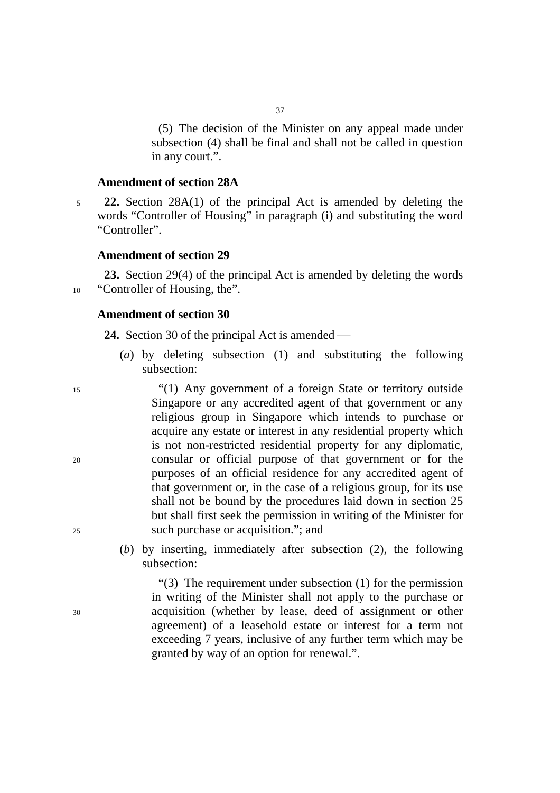(5) The decision of the Minister on any appeal made under subsection (4) shall be final and shall not be called in question in any court.".

# **Amendment of section 28A**

<sup>5</sup>**22.** Section 28A(1) of the principal Act is amended by deleting the words "Controller of Housing" in paragraph (i) and substituting the word "Controller".

# **Amendment of section 29**

**23.** Section 29(4) of the principal Act is amended by deleting the words 10 "Controller of Housing, the".

# **Amendment of section 30**

**24.** Section 30 of the principal Act is amended —

(*a*) by deleting subsection (1) and substituting the following subsection:

15 "(1) Any government of a foreign State or territory outside Singapore or any accredited agent of that government or any religious group in Singapore which intends to purchase or acquire any estate or interest in any residential property which is not non-restricted residential property for any diplomatic, 20 consular or official purpose of that government or for the purposes of an official residence for any accredited agent of that government or, in the case of a religious group, for its use shall not be bound by the procedures laid down in section 25 but shall first seek the permission in writing of the Minister for 25 such purchase or acquisition."; and

> (*b*) by inserting, immediately after subsection (2), the following subsection:

"(3) The requirement under subsection (1) for the permission in writing of the Minister shall not apply to the purchase or 30 acquisition (whether by lease, deed of assignment or other agreement) of a leasehold estate or interest for a term not exceeding 7 years, inclusive of any further term which may be granted by way of an option for renewal.".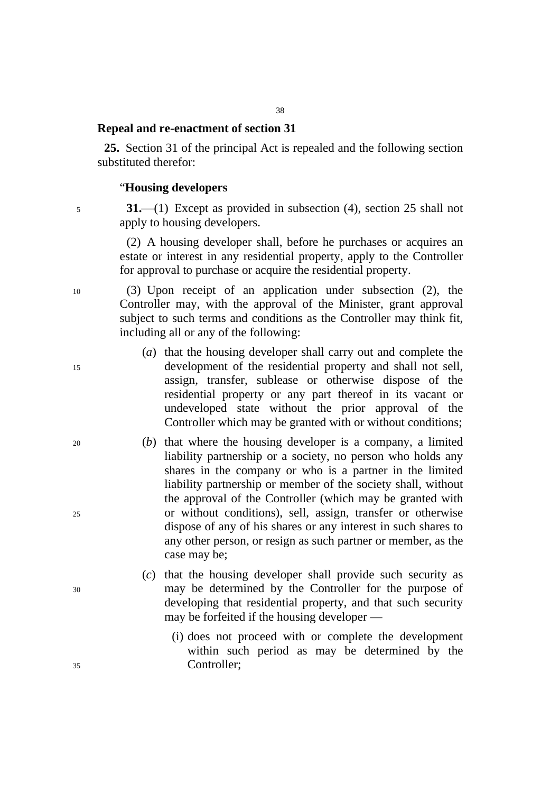# **Repeal and re-enactment of section 31**

**25.** Section 31 of the principal Act is repealed and the following section substituted therefor:

# "**Housing developers**

5 **31.**—(1) Except as provided in subsection (4), section 25 shall not apply to housing developers.

> (2) A housing developer shall, before he purchases or acquires an estate or interest in any residential property, apply to the Controller for approval to purchase or acquire the residential property.

10 (3) Upon receipt of an application under subsection (2), the Controller may, with the approval of the Minister, grant approval subject to such terms and conditions as the Controller may think fit, including all or any of the following:

- (*a*) that the housing developer shall carry out and complete the 15 development of the residential property and shall not sell, assign, transfer, sublease or otherwise dispose of the residential property or any part thereof in its vacant or undeveloped state without the prior approval of the Controller which may be granted with or without conditions;
- 20 (*b*) that where the housing developer is a company, a limited liability partnership or a society, no person who holds any shares in the company or who is a partner in the limited liability partnership or member of the society shall, without the approval of the Controller (which may be granted with 25 or without conditions), sell, assign, transfer or otherwise dispose of any of his shares or any interest in such shares to any other person, or resign as such partner or member, as the case may be;
- (*c*) that the housing developer shall provide such security as 30 may be determined by the Controller for the purpose of developing that residential property, and that such security may be forfeited if the housing developer —
- (i) does not proceed with or complete the development within such period as may be determined by the 35 Controller;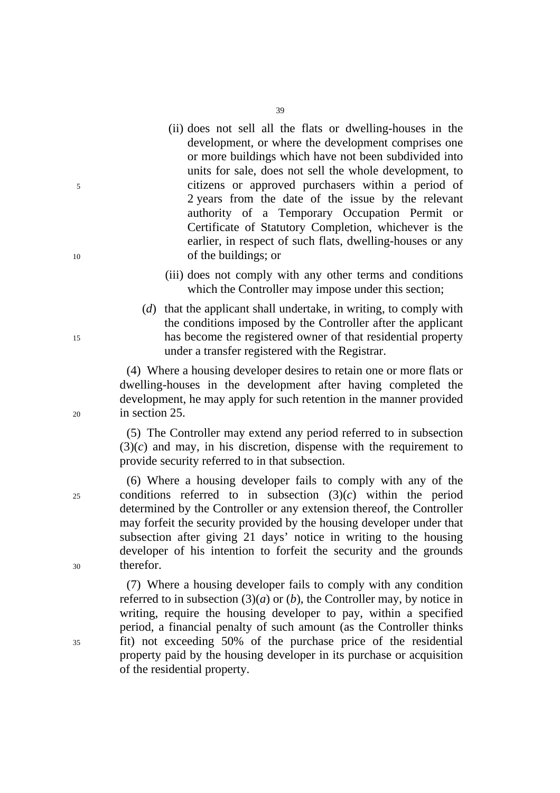(ii) does not sell all the flats or dwelling-houses in the development, or where the development comprises one or more buildings which have not been subdivided into units for sale, does not sell the whole development, to 5 citizens or approved purchasers within a period of 2 years from the date of the issue by the relevant authority of a Temporary Occupation Permit or Certificate of Statutory Completion, whichever is the earlier, in respect of such flats, dwelling-houses or any 10 of the buildings; or

39

- (iii) does not comply with any other terms and conditions which the Controller may impose under this section;
- (*d*) that the applicant shall undertake, in writing, to comply with the conditions imposed by the Controller after the applicant 15 has become the registered owner of that residential property under a transfer registered with the Registrar.

(4) Where a housing developer desires to retain one or more flats or dwelling-houses in the development after having completed the development, he may apply for such retention in the manner provided 20 in section 25.

> (5) The Controller may extend any period referred to in subsection  $(3)(c)$  and may, in his discretion, dispense with the requirement to provide security referred to in that subsection.

(6) Where a housing developer fails to comply with any of the 25 conditions referred to in subsection (3)(*c*) within the period determined by the Controller or any extension thereof, the Controller may forfeit the security provided by the housing developer under that subsection after giving 21 days' notice in writing to the housing developer of his intention to forfeit the security and the grounds 30 therefor.

(7) Where a housing developer fails to comply with any condition referred to in subsection  $(3)(a)$  or  $(b)$ , the Controller may, by notice in writing, require the housing developer to pay, within a specified period, a financial penalty of such amount (as the Controller thinks 35 fit) not exceeding 50% of the purchase price of the residential property paid by the housing developer in its purchase or acquisition of the residential property.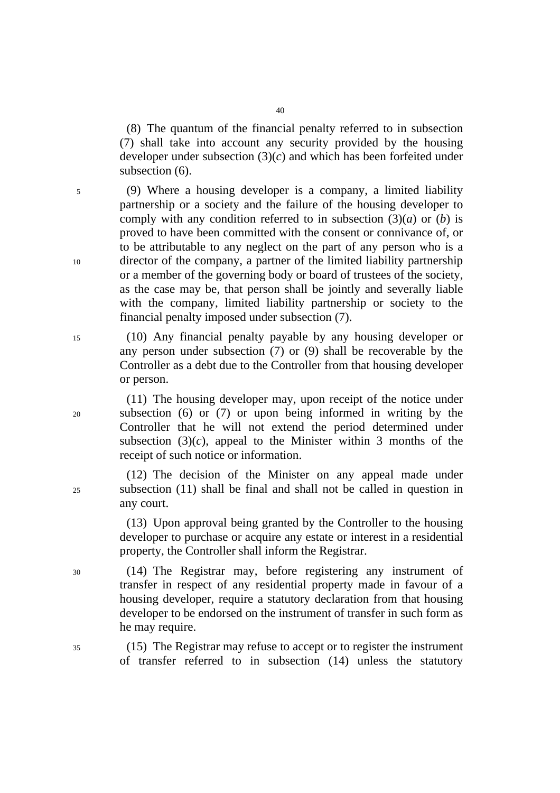(8) The quantum of the financial penalty referred to in subsection (7) shall take into account any security provided by the housing developer under subsection (3)(*c*) and which has been forfeited under subsection  $(6)$ .

5 (9) Where a housing developer is a company, a limited liability partnership or a society and the failure of the housing developer to comply with any condition referred to in subsection (3)(*a*) or (*b*) is proved to have been committed with the consent or connivance of, or to be attributable to any neglect on the part of any person who is a 10 director of the company, a partner of the limited liability partnership or a member of the governing body or board of trustees of the society, as the case may be, that person shall be jointly and severally liable with the company, limited liability partnership or society to the financial penalty imposed under subsection (7).

15 (10) Any financial penalty payable by any housing developer or any person under subsection (7) or (9) shall be recoverable by the Controller as a debt due to the Controller from that housing developer or person.

(11) The housing developer may, upon receipt of the notice under 20 subsection (6) or (7) or upon being informed in writing by the Controller that he will not extend the period determined under subsection  $(3)(c)$ , appeal to the Minister within 3 months of the receipt of such notice or information.

(12) The decision of the Minister on any appeal made under 25 subsection (11) shall be final and shall not be called in question in any court.

> (13) Upon approval being granted by the Controller to the housing developer to purchase or acquire any estate or interest in a residential property, the Controller shall inform the Registrar.

30 (14) The Registrar may, before registering any instrument of transfer in respect of any residential property made in favour of a housing developer, require a statutory declaration from that housing developer to be endorsed on the instrument of transfer in such form as he may require.

35 (15) The Registrar may refuse to accept or to register the instrument of transfer referred to in subsection (14) unless the statutory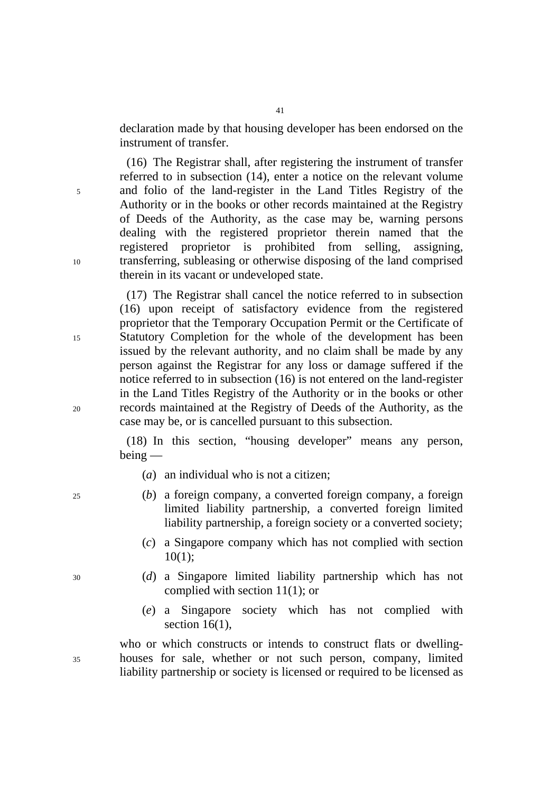declaration made by that housing developer has been endorsed on the instrument of transfer.

(16) The Registrar shall, after registering the instrument of transfer referred to in subsection (14), enter a notice on the relevant volume 5 and folio of the land-register in the Land Titles Registry of the Authority or in the books or other records maintained at the Registry of Deeds of the Authority, as the case may be, warning persons dealing with the registered proprietor therein named that the registered proprietor is prohibited from selling, assigning, 10 transferring, subleasing or otherwise disposing of the land comprised therein in its vacant or undeveloped state.

(17) The Registrar shall cancel the notice referred to in subsection (16) upon receipt of satisfactory evidence from the registered proprietor that the Temporary Occupation Permit or the Certificate of 15 Statutory Completion for the whole of the development has been issued by the relevant authority, and no claim shall be made by any person against the Registrar for any loss or damage suffered if the notice referred to in subsection (16) is not entered on the land-register in the Land Titles Registry of the Authority or in the books or other 20 records maintained at the Registry of Deeds of the Authority, as the case may be, or is cancelled pursuant to this subsection.

> (18) In this section, "housing developer" means any person, being —

- (*a*) an individual who is not a citizen;
- 25 (*b*) a foreign company, a converted foreign company, a foreign limited liability partnership, a converted foreign limited liability partnership, a foreign society or a converted society;
	- (*c*) a Singapore company which has not complied with section 10(1);
- 30 (*d*) a Singapore limited liability partnership which has not complied with section 11(1); or
	- (*e*) a Singapore society which has not complied with section  $16(1)$ ,

who or which constructs or intends to construct flats or dwelling-35 houses for sale, whether or not such person, company, limited liability partnership or society is licensed or required to be licensed as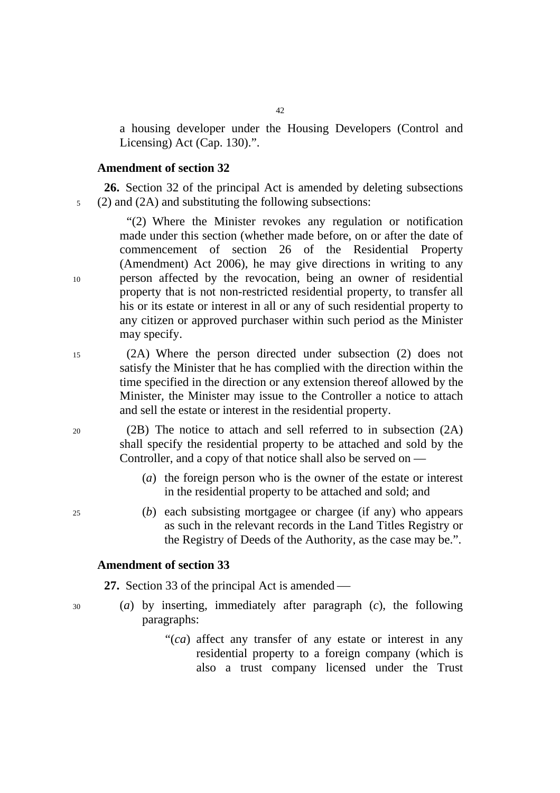a housing developer under the Housing Developers (Control and Licensing) Act (Cap. 130).".

### **Amendment of section 32**

**26.** Section 32 of the principal Act is amended by deleting subsections 5 (2) and (2A) and substituting the following subsections:

"(2) Where the Minister revokes any regulation or notification made under this section (whether made before, on or after the date of commencement of section 26 of the Residential Property (Amendment) Act 2006), he may give directions in writing to any 10 person affected by the revocation, being an owner of residential property that is not non-restricted residential property, to transfer all his or its estate or interest in all or any of such residential property to any citizen or approved purchaser within such period as the Minister may specify.

15 (2A) Where the person directed under subsection (2) does not satisfy the Minister that he has complied with the direction within the time specified in the direction or any extension thereof allowed by the Minister, the Minister may issue to the Controller a notice to attach and sell the estate or interest in the residential property.

20 (2B) The notice to attach and sell referred to in subsection (2A) shall specify the residential property to be attached and sold by the Controller, and a copy of that notice shall also be served on —

- (*a*) the foreign person who is the owner of the estate or interest in the residential property to be attached and sold; and
- 25 (*b*) each subsisting mortgagee or chargee (if any) who appears as such in the relevant records in the Land Titles Registry or the Registry of Deeds of the Authority, as the case may be.".

### **Amendment of section 33**

27. Section 33 of the principal Act is amended —

- 30 (*a*) by inserting, immediately after paragraph (*c*), the following paragraphs:
	- "(*ca*) affect any transfer of any estate or interest in any residential property to a foreign company (which is also a trust company licensed under the Trust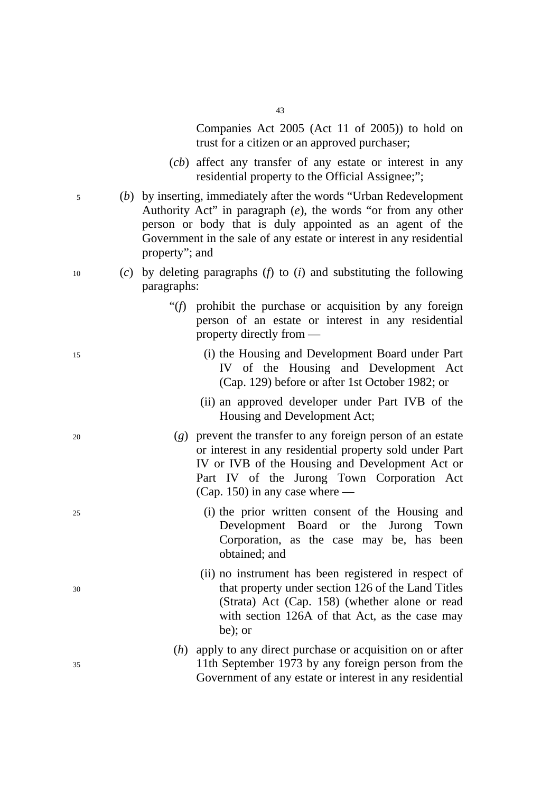43

Companies Act 2005 (Act 11 of 2005)) to hold on trust for a citizen or an approved purchaser;

- (*cb*) affect any transfer of any estate or interest in any residential property to the Official Assignee;";
- 5 (*b*) by inserting, immediately after the words "Urban Redevelopment Authority Act" in paragraph (*e*), the words "or from any other person or body that is duly appointed as an agent of the Government in the sale of any estate or interest in any residential property"; and
- 10 (*c*) by deleting paragraphs (*f*) to (*i*) and substituting the following paragraphs:
	- "(*f*) prohibit the purchase or acquisition by any foreign person of an estate or interest in any residential property directly from —
- 15 (i) the Housing and Development Board under Part IV of the Housing and Development Act (Cap. 129) before or after 1st October 1982; or
	- (ii) an approved developer under Part IVB of the Housing and Development Act;
- 20 (*g*) prevent the transfer to any foreign person of an estate or interest in any residential property sold under Part IV or IVB of the Housing and Development Act or Part IV of the Jurong Town Corporation Act (Cap. 150) in any case where —
- 25 (i) the prior written consent of the Housing and Development Board or the Jurong Town Corporation, as the case may be, has been obtained; and
- (ii) no instrument has been registered in respect of 30 that property under section 126 of the Land Titles (Strata) Act (Cap. 158) (whether alone or read with section 126A of that Act, as the case may be); or
- (*h*) apply to any direct purchase or acquisition on or after 35 11th September 1973 by any foreign person from the Government of any estate or interest in any residential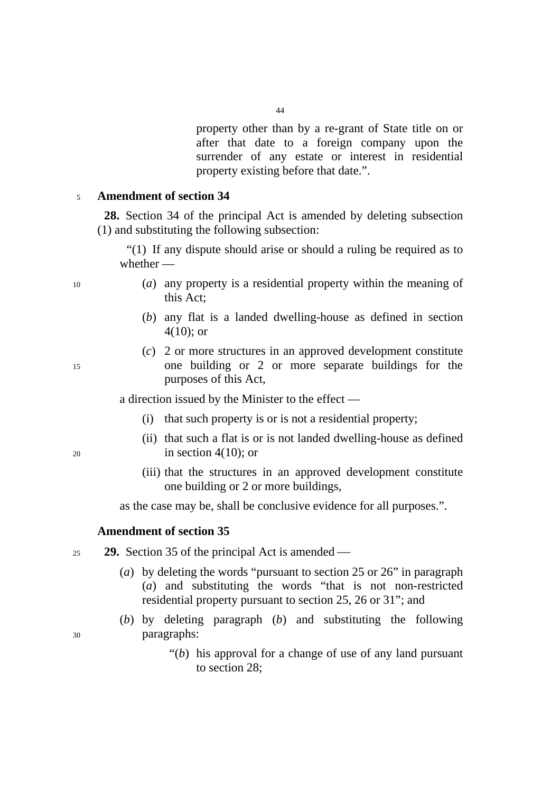property other than by a re-grant of State title on or after that date to a foreign company upon the surrender of any estate or interest in residential property existing before that date.".

### <sup>5</sup>**Amendment of section 34**

**28.** Section 34 of the principal Act is amended by deleting subsection (1) and substituting the following subsection:

"(1) If any dispute should arise or should a ruling be required as to whether —

- 10 (*a*) any property is a residential property within the meaning of this Act;
	- (*b*) any flat is a landed dwelling-house as defined in section 4(10); or
- (*c*) 2 or more structures in an approved development constitute 15 one building or 2 or more separate buildings for the purposes of this Act,

a direction issued by the Minister to the effect —

- (i) that such property is or is not a residential property;
- (ii) that such a flat is or is not landed dwelling-house as defined  $20 \quad \text{in section } 4(10)$ ; or
	- (iii) that the structures in an approved development constitute one building or 2 or more buildings,

as the case may be, shall be conclusive evidence for all purposes.".

### **Amendment of section 35**

- $25$  **29.** Section 35 of the principal Act is amended
	- (*a*) by deleting the words "pursuant to section 25 or 26" in paragraph (*a*) and substituting the words "that is not non-restricted residential property pursuant to section 25, 26 or 31"; and
- (*b*) by deleting paragraph (*b*) and substituting the following 30 paragraphs:
	- "(*b*) his approval for a change of use of any land pursuant to section 28;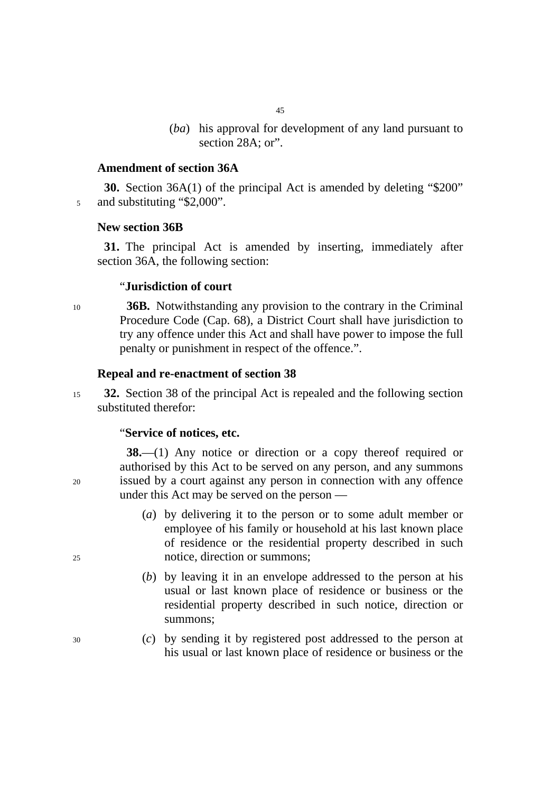- 45
- (*ba*) his approval for development of any land pursuant to section 28A; or".

#### **Amendment of section 36A**

**30.** Section 36A(1) of the principal Act is amended by deleting "\$200" 5 and substituting "\$2,000".

#### **New section 36B**

**31.** The principal Act is amended by inserting, immediately after section 36A, the following section:

# "**Jurisdiction of court**

<sup>10</sup>**36B.** Notwithstanding any provision to the contrary in the Criminal Procedure Code (Cap. 68), a District Court shall have jurisdiction to try any offence under this Act and shall have power to impose the full penalty or punishment in respect of the offence.".

#### **Repeal and re-enactment of section 38**

<sup>15</sup>**32.** Section 38 of the principal Act is repealed and the following section substituted therefor:

#### "**Service of notices, etc.**

**38.**—(1) Any notice or direction or a copy thereof required or authorised by this Act to be served on any person, and any summons 20 issued by a court against any person in connection with any offence under this Act may be served on the person —

- (*a*) by delivering it to the person or to some adult member or employee of his family or household at his last known place of residence or the residential property described in such 25 notice, direction or summons;
	- (*b*) by leaving it in an envelope addressed to the person at his usual or last known place of residence or business or the residential property described in such notice, direction or summons;
- 30 (*c*) by sending it by registered post addressed to the person at his usual or last known place of residence or business or the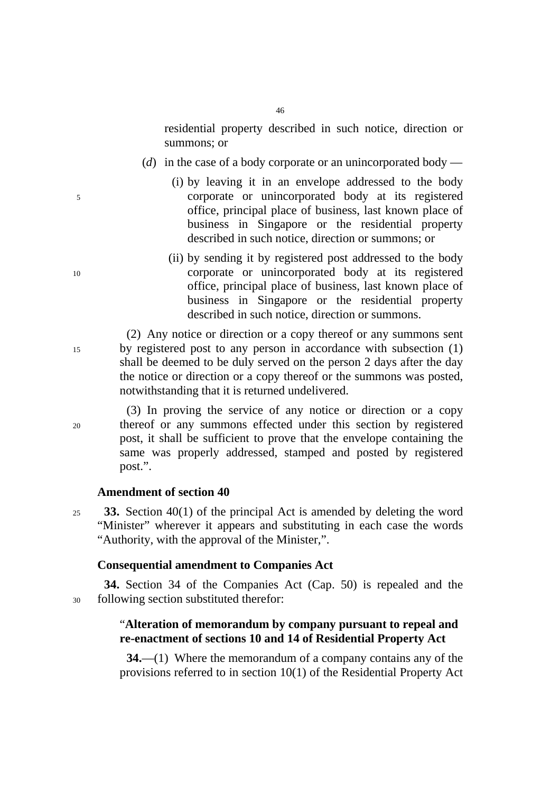residential property described in such notice, direction or summons; or

- (*d*) in the case of a body corporate or an unincorporated body —
- (i) by leaving it in an envelope addressed to the body 5 corporate or unincorporated body at its registered office, principal place of business, last known place of business in Singapore or the residential property described in such notice, direction or summons; or
- (ii) by sending it by registered post addressed to the body 10 corporate or unincorporated body at its registered office, principal place of business, last known place of business in Singapore or the residential property described in such notice, direction or summons.

(2) Any notice or direction or a copy thereof or any summons sent 15 by registered post to any person in accordance with subsection (1) shall be deemed to be duly served on the person 2 days after the day the notice or direction or a copy thereof or the summons was posted, notwithstanding that it is returned undelivered.

(3) In proving the service of any notice or direction or a copy 20 thereof or any summons effected under this section by registered post, it shall be sufficient to prove that the envelope containing the same was properly addressed, stamped and posted by registered post.".

### **Amendment of section 40**

<sup>25</sup>**33.** Section 40(1) of the principal Act is amended by deleting the word "Minister" wherever it appears and substituting in each case the words "Authority, with the approval of the Minister,".

# **Consequential amendment to Companies Act**

**34.** Section 34 of the Companies Act (Cap. 50) is repealed and the 30 following section substituted therefor:

# "**Alteration of memorandum by company pursuant to repeal and re-enactment of sections 10 and 14 of Residential Property Act**

**34.**—(1) Where the memorandum of a company contains any of the provisions referred to in section 10(1) of the Residential Property Act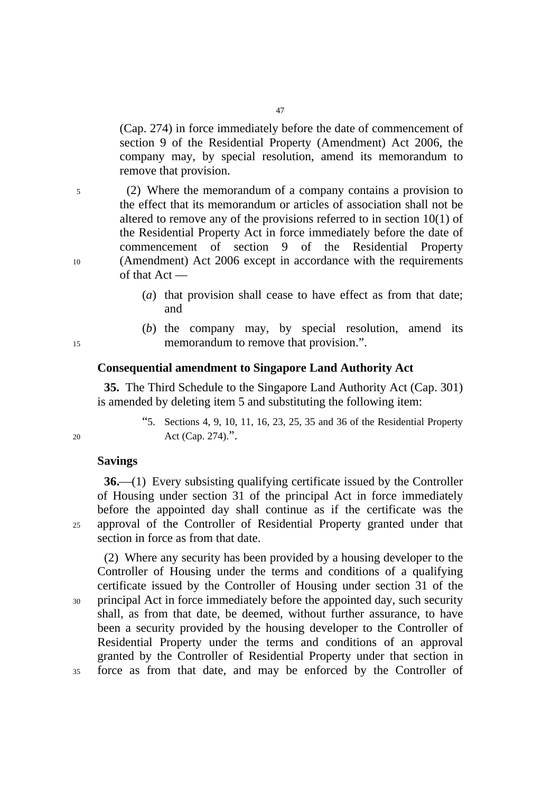(Cap. 274) in force immediately before the date of commencement of section 9 of the Residential Property (Amendment) Act 2006, the company may, by special resolution, amend its memorandum to remove that provision.

5 (2) Where the memorandum of a company contains a provision to the effect that its memorandum or articles of association shall not be altered to remove any of the provisions referred to in section 10(1) of the Residential Property Act in force immediately before the date of commencement of section 9 of the Residential Property 10 (Amendment) Act 2006 except in accordance with the requirements of that Act —

- (*a*) that provision shall cease to have effect as from that date; and
- (*b*) the company may, by special resolution, amend its 15 memorandum to remove that provision.".

### **Consequential amendment to Singapore Land Authority Act**

**35.** The Third Schedule to the Singapore Land Authority Act (Cap. 301) is amended by deleting item 5 and substituting the following item:

"5. Sections 4, 9, 10, 11, 16, 23, 25, 35 and 36 of the Residential Property 20 Act (Cap. 274).".

#### **Savings**

**36.**—(1) Every subsisting qualifying certificate issued by the Controller of Housing under section 31 of the principal Act in force immediately before the appointed day shall continue as if the certificate was the 25 approval of the Controller of Residential Property granted under that section in force as from that date.

(2) Where any security has been provided by a housing developer to the Controller of Housing under the terms and conditions of a qualifying certificate issued by the Controller of Housing under section 31 of the 30 principal Act in force immediately before the appointed day, such security shall, as from that date, be deemed, without further assurance, to have been a security provided by the housing developer to the Controller of Residential Property under the terms and conditions of an approval granted by the Controller of Residential Property under that section in 35 force as from that date, and may be enforced by the Controller of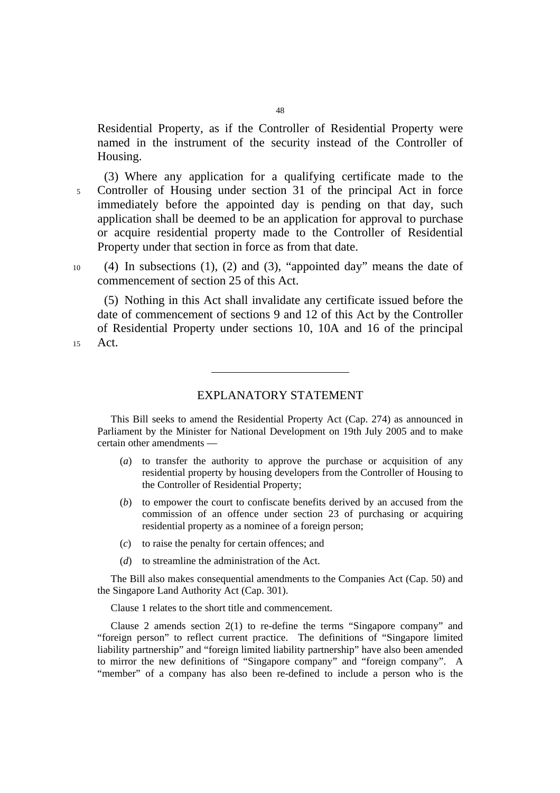Residential Property, as if the Controller of Residential Property were named in the instrument of the security instead of the Controller of Housing.

(3) Where any application for a qualifying certificate made to the 5 Controller of Housing under section 31 of the principal Act in force immediately before the appointed day is pending on that day, such application shall be deemed to be an application for approval to purchase or acquire residential property made to the Controller of Residential Property under that section in force as from that date.

10 (4) In subsections (1), (2) and (3), "appointed day" means the date of commencement of section 25 of this Act.

(5) Nothing in this Act shall invalidate any certificate issued before the date of commencement of sections 9 and 12 of this Act by the Controller of Residential Property under sections 10, 10A and 16 of the principal 15 Act.

# EXPLANATORY STATEMENT

This Bill seeks to amend the Residential Property Act (Cap. 274) as announced in Parliament by the Minister for National Development on 19th July 2005 and to make certain other amendments —

- (*a*) to transfer the authority to approve the purchase or acquisition of any residential property by housing developers from the Controller of Housing to the Controller of Residential Property;
- (*b*) to empower the court to confiscate benefits derived by an accused from the commission of an offence under section 23 of purchasing or acquiring residential property as a nominee of a foreign person;
- (*c*) to raise the penalty for certain offences; and
- (*d*) to streamline the administration of the Act.

The Bill also makes consequential amendments to the Companies Act (Cap. 50) and the Singapore Land Authority Act (Cap. 301).

Clause 1 relates to the short title and commencement.

Clause 2 amends section 2(1) to re-define the terms "Singapore company" and "foreign person" to reflect current practice. The definitions of "Singapore limited liability partnership" and "foreign limited liability partnership" have also been amended to mirror the new definitions of "Singapore company" and "foreign company". A "member" of a company has also been re-defined to include a person who is the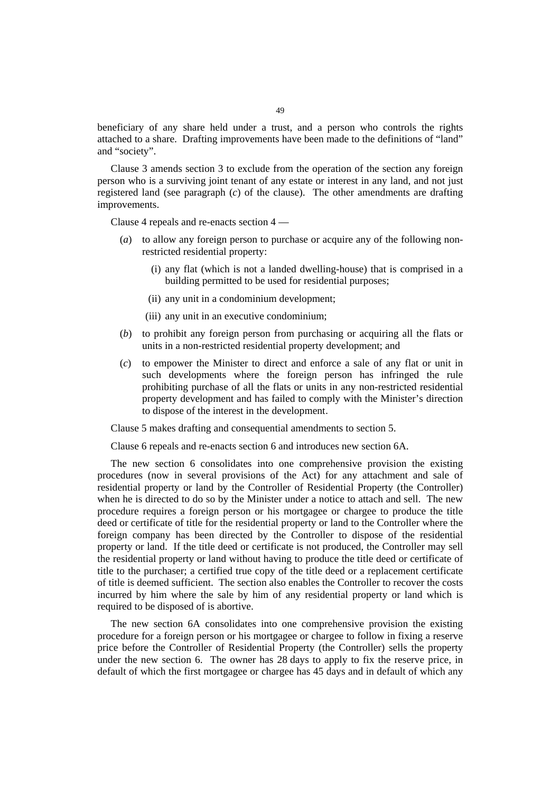beneficiary of any share held under a trust, and a person who controls the rights attached to a share. Drafting improvements have been made to the definitions of "land" and "society".

Clause 3 amends section 3 to exclude from the operation of the section any foreign person who is a surviving joint tenant of any estate or interest in any land, and not just registered land (see paragraph (*c*) of the clause). The other amendments are drafting improvements.

Clause 4 repeals and re-enacts section 4 —

- (*a*) to allow any foreign person to purchase or acquire any of the following nonrestricted residential property:
	- (i) any flat (which is not a landed dwelling-house) that is comprised in a building permitted to be used for residential purposes;
	- (ii) any unit in a condominium development;
	- (iii) any unit in an executive condominium;
- (*b*) to prohibit any foreign person from purchasing or acquiring all the flats or units in a non-restricted residential property development; and
- (*c*) to empower the Minister to direct and enforce a sale of any flat or unit in such developments where the foreign person has infringed the rule prohibiting purchase of all the flats or units in any non-restricted residential property development and has failed to comply with the Minister's direction to dispose of the interest in the development.

Clause 5 makes drafting and consequential amendments to section 5.

Clause 6 repeals and re-enacts section 6 and introduces new section 6A.

The new section 6 consolidates into one comprehensive provision the existing procedures (now in several provisions of the Act) for any attachment and sale of residential property or land by the Controller of Residential Property (the Controller) when he is directed to do so by the Minister under a notice to attach and sell. The new procedure requires a foreign person or his mortgagee or chargee to produce the title deed or certificate of title for the residential property or land to the Controller where the foreign company has been directed by the Controller to dispose of the residential property or land. If the title deed or certificate is not produced, the Controller may sell the residential property or land without having to produce the title deed or certificate of title to the purchaser; a certified true copy of the title deed or a replacement certificate of title is deemed sufficient. The section also enables the Controller to recover the costs incurred by him where the sale by him of any residential property or land which is required to be disposed of is abortive.

The new section 6A consolidates into one comprehensive provision the existing procedure for a foreign person or his mortgagee or chargee to follow in fixing a reserve price before the Controller of Residential Property (the Controller) sells the property under the new section 6. The owner has 28 days to apply to fix the reserve price, in default of which the first mortgagee or chargee has 45 days and in default of which any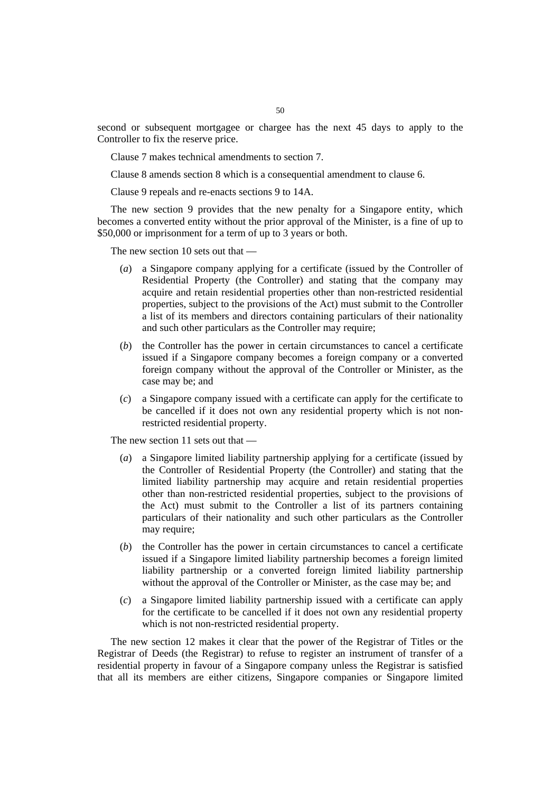second or subsequent mortgagee or chargee has the next 45 days to apply to the Controller to fix the reserve price.

Clause 7 makes technical amendments to section 7.

Clause 8 amends section 8 which is a consequential amendment to clause 6.

Clause 9 repeals and re-enacts sections 9 to 14A.

The new section 9 provides that the new penalty for a Singapore entity, which becomes a converted entity without the prior approval of the Minister, is a fine of up to \$50,000 or imprisonment for a term of up to 3 years or both.

The new section 10 sets out that —

- (*a*) a Singapore company applying for a certificate (issued by the Controller of Residential Property (the Controller) and stating that the company may acquire and retain residential properties other than non-restricted residential properties, subject to the provisions of the Act) must submit to the Controller a list of its members and directors containing particulars of their nationality and such other particulars as the Controller may require;
- (*b*) the Controller has the power in certain circumstances to cancel a certificate issued if a Singapore company becomes a foreign company or a converted foreign company without the approval of the Controller or Minister, as the case may be; and
- (*c*) a Singapore company issued with a certificate can apply for the certificate to be cancelled if it does not own any residential property which is not nonrestricted residential property.

The new section 11 sets out that —

- (*a*) a Singapore limited liability partnership applying for a certificate (issued by the Controller of Residential Property (the Controller) and stating that the limited liability partnership may acquire and retain residential properties other than non-restricted residential properties, subject to the provisions of the Act) must submit to the Controller a list of its partners containing particulars of their nationality and such other particulars as the Controller may require;
- (*b*) the Controller has the power in certain circumstances to cancel a certificate issued if a Singapore limited liability partnership becomes a foreign limited liability partnership or a converted foreign limited liability partnership without the approval of the Controller or Minister, as the case may be; and
- (*c*) a Singapore limited liability partnership issued with a certificate can apply for the certificate to be cancelled if it does not own any residential property which is not non-restricted residential property.

The new section 12 makes it clear that the power of the Registrar of Titles or the Registrar of Deeds (the Registrar) to refuse to register an instrument of transfer of a residential property in favour of a Singapore company unless the Registrar is satisfied that all its members are either citizens, Singapore companies or Singapore limited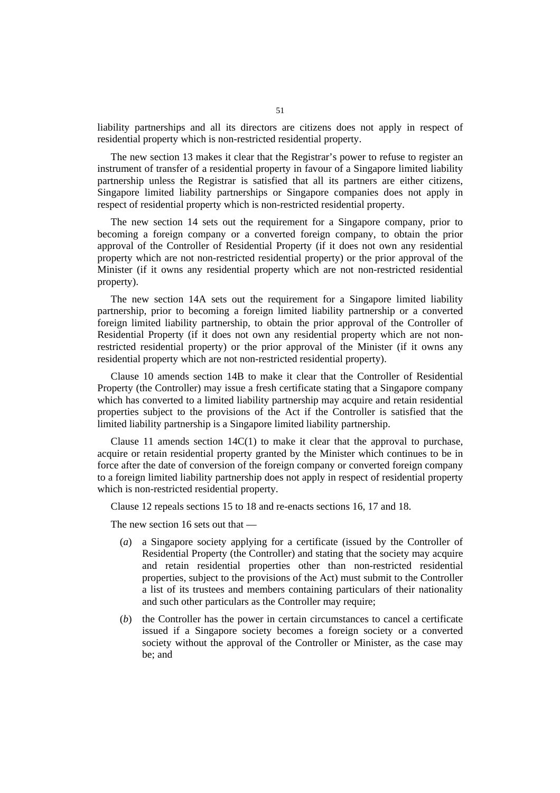liability partnerships and all its directors are citizens does not apply in respect of residential property which is non-restricted residential property.

The new section 13 makes it clear that the Registrar's power to refuse to register an instrument of transfer of a residential property in favour of a Singapore limited liability partnership unless the Registrar is satisfied that all its partners are either citizens, Singapore limited liability partnerships or Singapore companies does not apply in respect of residential property which is non-restricted residential property.

The new section 14 sets out the requirement for a Singapore company, prior to becoming a foreign company or a converted foreign company, to obtain the prior approval of the Controller of Residential Property (if it does not own any residential property which are not non-restricted residential property) or the prior approval of the Minister (if it owns any residential property which are not non-restricted residential property).

The new section 14A sets out the requirement for a Singapore limited liability partnership, prior to becoming a foreign limited liability partnership or a converted foreign limited liability partnership, to obtain the prior approval of the Controller of Residential Property (if it does not own any residential property which are not nonrestricted residential property) or the prior approval of the Minister (if it owns any residential property which are not non-restricted residential property).

Clause 10 amends section 14B to make it clear that the Controller of Residential Property (the Controller) may issue a fresh certificate stating that a Singapore company which has converted to a limited liability partnership may acquire and retain residential properties subject to the provisions of the Act if the Controller is satisfied that the limited liability partnership is a Singapore limited liability partnership.

Clause 11 amends section  $14C(1)$  to make it clear that the approval to purchase, acquire or retain residential property granted by the Minister which continues to be in force after the date of conversion of the foreign company or converted foreign company to a foreign limited liability partnership does not apply in respect of residential property which is non-restricted residential property.

Clause 12 repeals sections 15 to 18 and re-enacts sections 16, 17 and 18.

The new section 16 sets out that —

- (*a*) a Singapore society applying for a certificate (issued by the Controller of Residential Property (the Controller) and stating that the society may acquire and retain residential properties other than non-restricted residential properties, subject to the provisions of the Act) must submit to the Controller a list of its trustees and members containing particulars of their nationality and such other particulars as the Controller may require;
- (*b*) the Controller has the power in certain circumstances to cancel a certificate issued if a Singapore society becomes a foreign society or a converted society without the approval of the Controller or Minister, as the case may be; and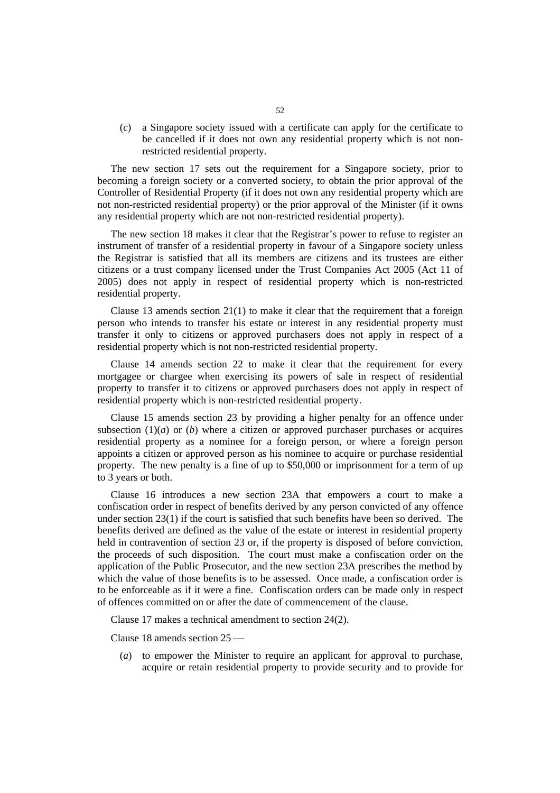(*c*) a Singapore society issued with a certificate can apply for the certificate to be cancelled if it does not own any residential property which is not nonrestricted residential property.

The new section 17 sets out the requirement for a Singapore society, prior to becoming a foreign society or a converted society, to obtain the prior approval of the Controller of Residential Property (if it does not own any residential property which are not non-restricted residential property) or the prior approval of the Minister (if it owns any residential property which are not non-restricted residential property).

The new section 18 makes it clear that the Registrar's power to refuse to register an instrument of transfer of a residential property in favour of a Singapore society unless the Registrar is satisfied that all its members are citizens and its trustees are either citizens or a trust company licensed under the Trust Companies Act 2005 (Act 11 of 2005) does not apply in respect of residential property which is non-restricted residential property.

Clause 13 amends section 21(1) to make it clear that the requirement that a foreign person who intends to transfer his estate or interest in any residential property must transfer it only to citizens or approved purchasers does not apply in respect of a residential property which is not non-restricted residential property.

Clause 14 amends section 22 to make it clear that the requirement for every mortgagee or chargee when exercising its powers of sale in respect of residential property to transfer it to citizens or approved purchasers does not apply in respect of residential property which is non-restricted residential property.

Clause 15 amends section 23 by providing a higher penalty for an offence under subsection  $(1)(a)$  or  $(b)$  where a citizen or approved purchaser purchases or acquires residential property as a nominee for a foreign person, or where a foreign person appoints a citizen or approved person as his nominee to acquire or purchase residential property. The new penalty is a fine of up to \$50,000 or imprisonment for a term of up to 3 years or both.

Clause 16 introduces a new section 23A that empowers a court to make a confiscation order in respect of benefits derived by any person convicted of any offence under section 23(1) if the court is satisfied that such benefits have been so derived. The benefits derived are defined as the value of the estate or interest in residential property held in contravention of section 23 or, if the property is disposed of before conviction, the proceeds of such disposition. The court must make a confiscation order on the application of the Public Prosecutor, and the new section 23A prescribes the method by which the value of those benefits is to be assessed. Once made, a confiscation order is to be enforceable as if it were a fine. Confiscation orders can be made only in respect of offences committed on or after the date of commencement of the clause.

Clause 17 makes a technical amendment to section 24(2).

Clause 18 amends section  $25$  —

(*a*) to empower the Minister to require an applicant for approval to purchase, acquire or retain residential property to provide security and to provide for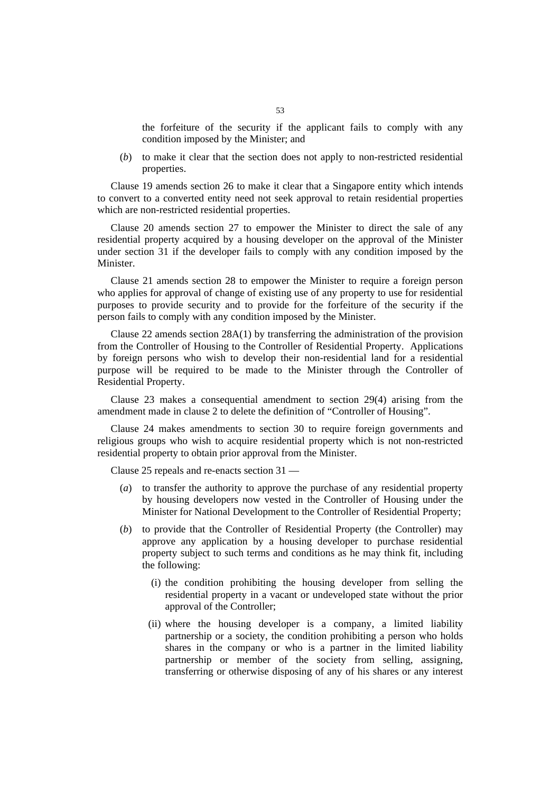the forfeiture of the security if the applicant fails to comply with any condition imposed by the Minister; and

(*b*) to make it clear that the section does not apply to non-restricted residential properties.

Clause 19 amends section 26 to make it clear that a Singapore entity which intends to convert to a converted entity need not seek approval to retain residential properties which are non-restricted residential properties.

Clause 20 amends section 27 to empower the Minister to direct the sale of any residential property acquired by a housing developer on the approval of the Minister under section 31 if the developer fails to comply with any condition imposed by the Minister.

Clause 21 amends section 28 to empower the Minister to require a foreign person who applies for approval of change of existing use of any property to use for residential purposes to provide security and to provide for the forfeiture of the security if the person fails to comply with any condition imposed by the Minister.

Clause 22 amends section 28A(1) by transferring the administration of the provision from the Controller of Housing to the Controller of Residential Property. Applications by foreign persons who wish to develop their non-residential land for a residential purpose will be required to be made to the Minister through the Controller of Residential Property.

Clause 23 makes a consequential amendment to section 29(4) arising from the amendment made in clause 2 to delete the definition of "Controller of Housing".

Clause 24 makes amendments to section 30 to require foreign governments and religious groups who wish to acquire residential property which is not non-restricted residential property to obtain prior approval from the Minister.

Clause 25 repeals and re-enacts section 31 —

- (*a*) to transfer the authority to approve the purchase of any residential property by housing developers now vested in the Controller of Housing under the Minister for National Development to the Controller of Residential Property;
- (*b*) to provide that the Controller of Residential Property (the Controller) may approve any application by a housing developer to purchase residential property subject to such terms and conditions as he may think fit, including the following:
	- (i) the condition prohibiting the housing developer from selling the residential property in a vacant or undeveloped state without the prior approval of the Controller;
	- (ii) where the housing developer is a company, a limited liability partnership or a society, the condition prohibiting a person who holds shares in the company or who is a partner in the limited liability partnership or member of the society from selling, assigning, transferring or otherwise disposing of any of his shares or any interest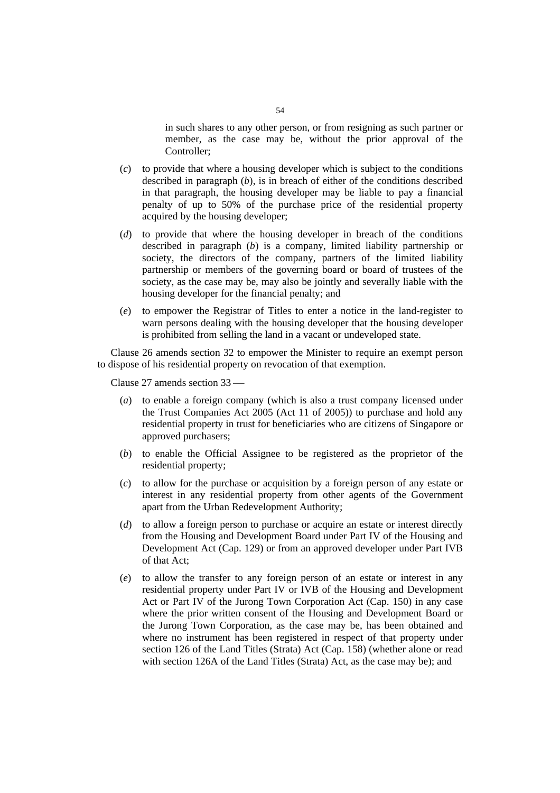in such shares to any other person, or from resigning as such partner or member, as the case may be, without the prior approval of the Controller;

- (*c*) to provide that where a housing developer which is subject to the conditions described in paragraph (*b*), is in breach of either of the conditions described in that paragraph, the housing developer may be liable to pay a financial penalty of up to 50% of the purchase price of the residential property acquired by the housing developer;
- (*d*) to provide that where the housing developer in breach of the conditions described in paragraph (*b*) is a company, limited liability partnership or society, the directors of the company, partners of the limited liability partnership or members of the governing board or board of trustees of the society, as the case may be, may also be jointly and severally liable with the housing developer for the financial penalty; and
- (*e*) to empower the Registrar of Titles to enter a notice in the land-register to warn persons dealing with the housing developer that the housing developer is prohibited from selling the land in a vacant or undeveloped state.

Clause 26 amends section 32 to empower the Minister to require an exempt person to dispose of his residential property on revocation of that exemption.

Clause  $27$  amends section  $33$  —

- (*a*) to enable a foreign company (which is also a trust company licensed under the Trust Companies Act 2005 (Act 11 of 2005)) to purchase and hold any residential property in trust for beneficiaries who are citizens of Singapore or approved purchasers;
- (*b*) to enable the Official Assignee to be registered as the proprietor of the residential property;
- (*c*) to allow for the purchase or acquisition by a foreign person of any estate or interest in any residential property from other agents of the Government apart from the Urban Redevelopment Authority;
- (*d*) to allow a foreign person to purchase or acquire an estate or interest directly from the Housing and Development Board under Part IV of the Housing and Development Act (Cap. 129) or from an approved developer under Part IVB of that Act;
- (*e*) to allow the transfer to any foreign person of an estate or interest in any residential property under Part IV or IVB of the Housing and Development Act or Part IV of the Jurong Town Corporation Act (Cap. 150) in any case where the prior written consent of the Housing and Development Board or the Jurong Town Corporation, as the case may be, has been obtained and where no instrument has been registered in respect of that property under section 126 of the Land Titles (Strata) Act (Cap. 158) (whether alone or read with section 126A of the Land Titles (Strata) Act, as the case may be); and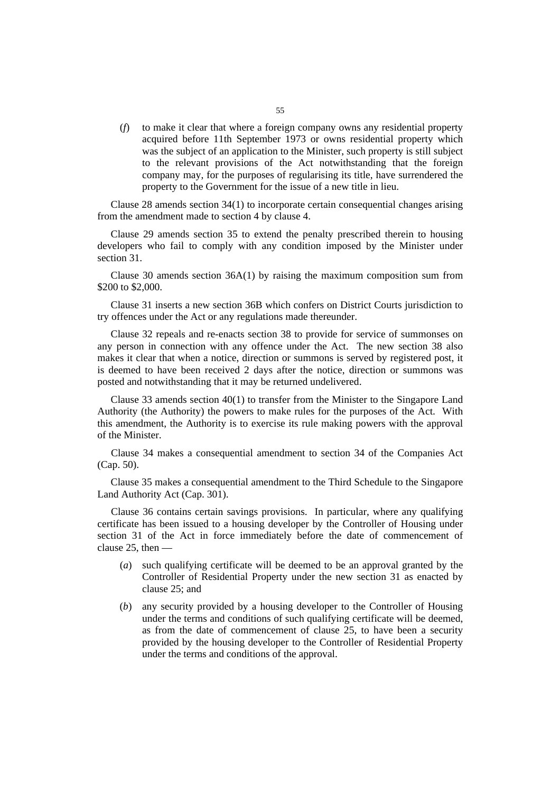(*f*) to make it clear that where a foreign company owns any residential property acquired before 11th September 1973 or owns residential property which was the subject of an application to the Minister, such property is still subject to the relevant provisions of the Act notwithstanding that the foreign company may, for the purposes of regularising its title, have surrendered the property to the Government for the issue of a new title in lieu.

Clause 28 amends section 34(1) to incorporate certain consequential changes arising from the amendment made to section 4 by clause 4.

Clause 29 amends section 35 to extend the penalty prescribed therein to housing developers who fail to comply with any condition imposed by the Minister under section 31.

Clause 30 amends section 36A(1) by raising the maximum composition sum from \$200 to \$2,000.

Clause 31 inserts a new section 36B which confers on District Courts jurisdiction to try offences under the Act or any regulations made thereunder.

Clause 32 repeals and re-enacts section 38 to provide for service of summonses on any person in connection with any offence under the Act. The new section 38 also makes it clear that when a notice, direction or summons is served by registered post, it is deemed to have been received 2 days after the notice, direction or summons was posted and notwithstanding that it may be returned undelivered.

Clause 33 amends section 40(1) to transfer from the Minister to the Singapore Land Authority (the Authority) the powers to make rules for the purposes of the Act. With this amendment, the Authority is to exercise its rule making powers with the approval of the Minister.

Clause 34 makes a consequential amendment to section 34 of the Companies Act (Cap. 50).

Clause 35 makes a consequential amendment to the Third Schedule to the Singapore Land Authority Act (Cap. 301).

Clause 36 contains certain savings provisions. In particular, where any qualifying certificate has been issued to a housing developer by the Controller of Housing under section 31 of the Act in force immediately before the date of commencement of clause 25, then —

- (*a*) such qualifying certificate will be deemed to be an approval granted by the Controller of Residential Property under the new section 31 as enacted by clause 25; and
- (*b*) any security provided by a housing developer to the Controller of Housing under the terms and conditions of such qualifying certificate will be deemed, as from the date of commencement of clause 25, to have been a security provided by the housing developer to the Controller of Residential Property under the terms and conditions of the approval.